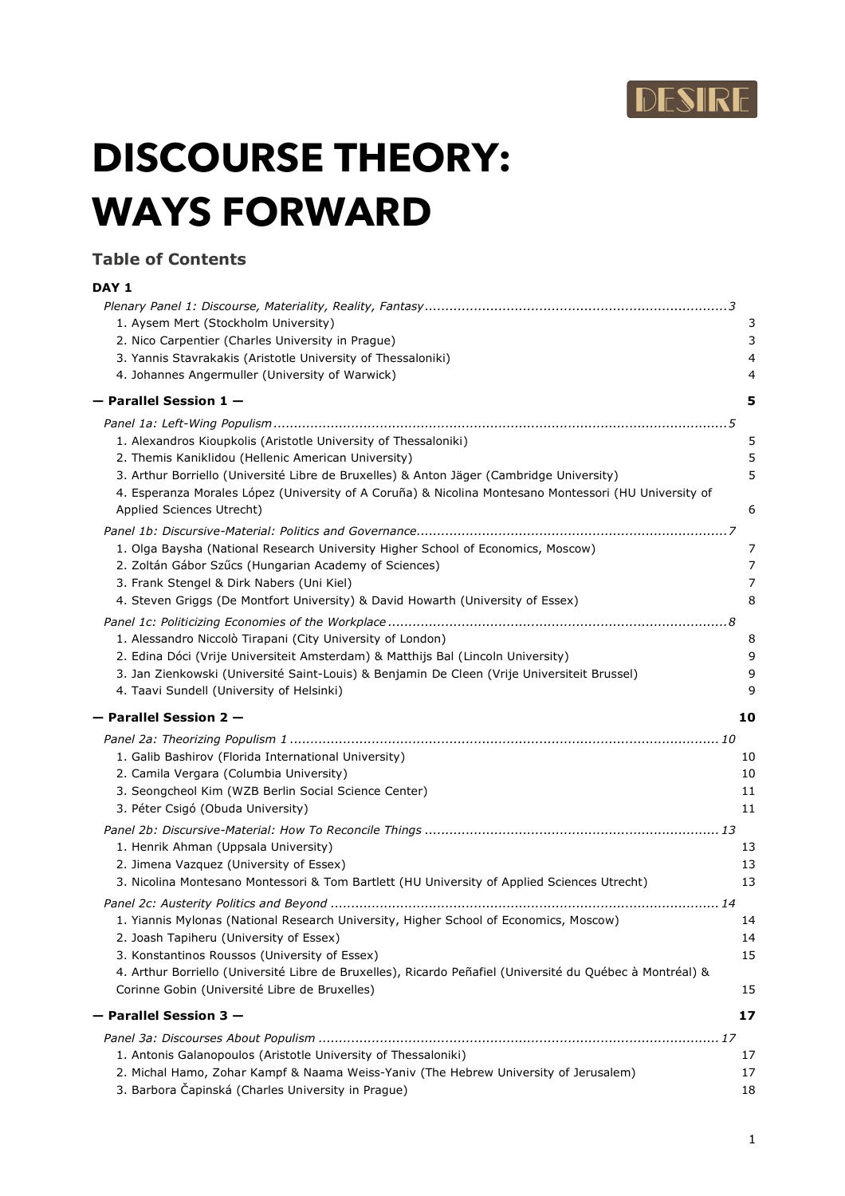

# **DISCOURSE THEORY: WAYS FORWARD**

# **Table of Contents**

#### **DAY 1**

| 1. Aysem Mert (Stockholm University)                                                                                                       | 3        |
|--------------------------------------------------------------------------------------------------------------------------------------------|----------|
| 2. Nico Carpentier (Charles University in Prague)                                                                                          | 3        |
| 3. Yannis Stavrakakis (Aristotle University of Thessaloniki)                                                                               | 4        |
| 4. Johannes Angermuller (University of Warwick)                                                                                            | 4        |
| $-$ Parallel Session 1 $-$                                                                                                                 | 5        |
|                                                                                                                                            |          |
| 1. Alexandros Kioupkolis (Aristotle University of Thessaloniki)                                                                            | 5        |
| 2. Themis Kaniklidou (Hellenic American University)                                                                                        | 5        |
| 3. Arthur Borriello (Université Libre de Bruxelles) & Anton Jäger (Cambridge University)                                                   | 5        |
| 4. Esperanza Morales López (University of A Coruña) & Nicolina Montesano Montessori (HU University of                                      |          |
| Applied Sciences Utrecht)                                                                                                                  | 6        |
|                                                                                                                                            |          |
| 1. Olga Baysha (National Research University Higher School of Economics, Moscow)                                                           | 7        |
| 2. Zoltán Gábor Szűcs (Hungarian Academy of Sciences)                                                                                      | 7        |
| 3. Frank Stengel & Dirk Nabers (Uni Kiel)                                                                                                  | 7        |
| 4. Steven Griggs (De Montfort University) & David Howarth (University of Essex)                                                            | 8        |
|                                                                                                                                            |          |
| 1. Alessandro Niccolò Tirapani (City University of London)                                                                                 | 8        |
| 2. Edina Dóci (Vrije Universiteit Amsterdam) & Matthijs Bal (Lincoln University)                                                           | 9        |
| 3. Jan Zienkowski (Université Saint-Louis) & Benjamin De Cleen (Vrije Universiteit Brussel)                                                | 9        |
| 4. Taavi Sundell (University of Helsinki)                                                                                                  | 9        |
| $-$ Parallel Session 2 $-$                                                                                                                 | 10       |
|                                                                                                                                            |          |
| 1. Galib Bashirov (Florida International University)                                                                                       | 10       |
| 2. Camila Vergara (Columbia University)                                                                                                    | 10       |
| 3. Seongcheol Kim (WZB Berlin Social Science Center)                                                                                       | 11       |
| 3. Péter Csigó (Obuda University)                                                                                                          | 11       |
|                                                                                                                                            |          |
| 1. Henrik Ahman (Uppsala University)                                                                                                       | 13       |
| 2. Jimena Vazquez (University of Essex)                                                                                                    | 13       |
| 3. Nicolina Montesano Montessori & Tom Bartlett (HU University of Applied Sciences Utrecht)                                                | 13       |
|                                                                                                                                            |          |
| 1. Yiannis Mylonas (National Research University, Higher School of Economics, Moscow)                                                      | 14       |
| 2. Joash Tapiheru (University of Essex)                                                                                                    | 14       |
| 3. Konstantinos Roussos (University of Essex)                                                                                              | 15       |
| 4. Arthur Borriello (Université Libre de Bruxelles), Ricardo Peñafiel (Université du Québec à Montréal) &                                  |          |
| Corinne Gobin (Université Libre de Bruxelles)                                                                                              | 15       |
| - Parallel Session 3-                                                                                                                      | 17       |
|                                                                                                                                            |          |
|                                                                                                                                            |          |
| 1. Antonis Galanopoulos (Aristotle University of Thessaloniki)                                                                             | 17       |
| 2. Michal Hamo, Zohar Kampf & Naama Weiss-Yaniv (The Hebrew University of Jerusalem)<br>3. Barbora Čapinská (Charles University in Prague) | 17<br>18 |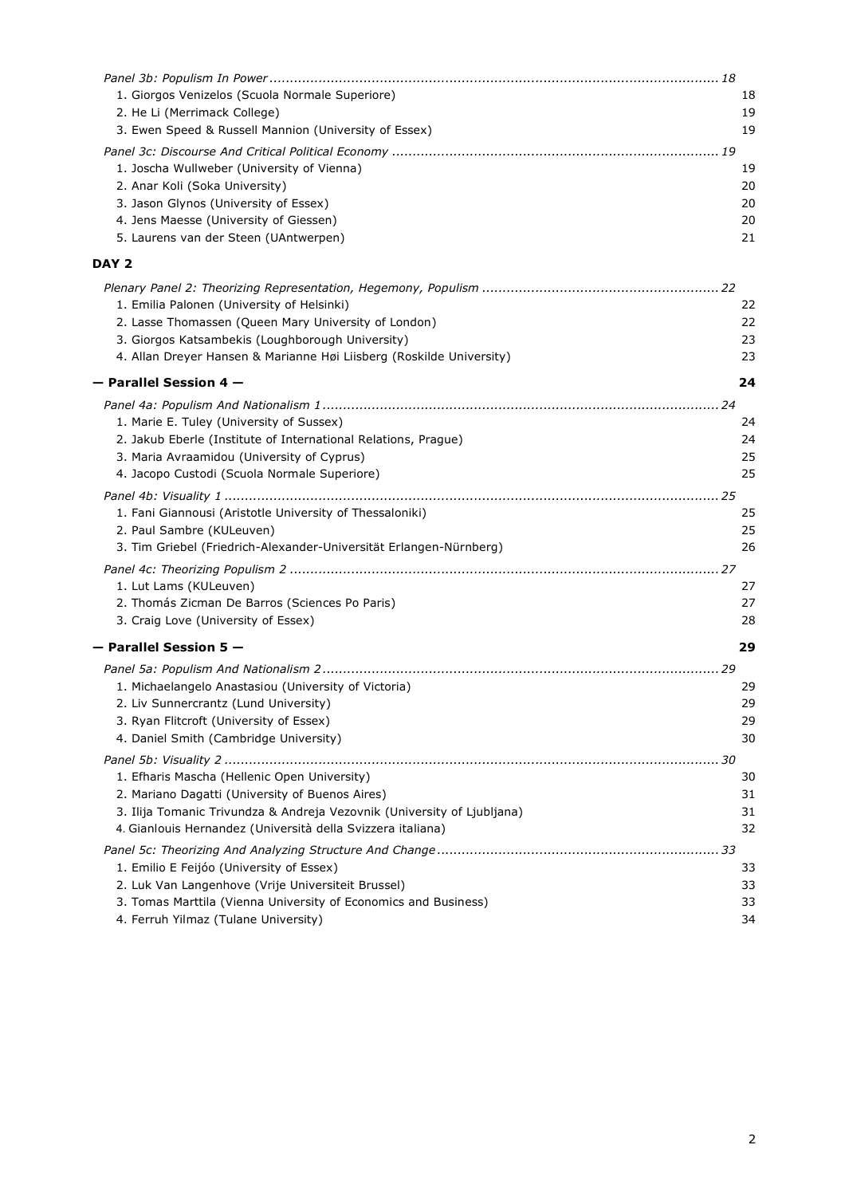| 1. Giorgos Venizelos (Scuola Normale Superiore)                         | 18 |
|-------------------------------------------------------------------------|----|
| 2. He Li (Merrimack College)                                            | 19 |
| 3. Ewen Speed & Russell Mannion (University of Essex)                   | 19 |
| 1. Joscha Wullweber (University of Vienna)                              | 19 |
| 2. Anar Koli (Soka University)                                          | 20 |
| 3. Jason Glynos (University of Essex)                                   | 20 |
| 4. Jens Maesse (University of Giessen)                                  | 20 |
| 5. Laurens van der Steen (UAntwerpen)                                   | 21 |
| DAY <sub>2</sub>                                                        |    |
|                                                                         |    |
| 1. Emilia Palonen (University of Helsinki)                              | 22 |
| 2. Lasse Thomassen (Queen Mary University of London)                    | 22 |
| 3. Giorgos Katsambekis (Loughborough University)                        | 23 |
| 4. Allan Dreyer Hansen & Marianne Høi Liisberg (Roskilde University)    | 23 |
| $-$ Parallel Session 4 $-$                                              | 24 |
|                                                                         |    |
| 1. Marie E. Tuley (University of Sussex)                                | 24 |
| 2. Jakub Eberle (Institute of International Relations, Prague)          | 24 |
| 3. Maria Avraamidou (University of Cyprus)                              | 25 |
| 4. Jacopo Custodi (Scuola Normale Superiore)                            | 25 |
|                                                                         |    |
| 1. Fani Giannousi (Aristotle University of Thessaloniki)                | 25 |
| 2. Paul Sambre (KULeuven)                                               | 25 |
| 3. Tim Griebel (Friedrich-Alexander-Universität Erlangen-Nürnberg)      | 26 |
|                                                                         |    |
|                                                                         |    |
| 1. Lut Lams (KULeuven)                                                  | 27 |
| 2. Thomás Zicman De Barros (Sciences Po Paris)                          | 27 |
| 3. Craig Love (University of Essex)                                     | 28 |
| - Parallel Session 5 -                                                  | 29 |
|                                                                         |    |
| 1. Michaelangelo Anastasiou (University of Victoria)                    | 29 |
| 2. Liv Sunnercrantz (Lund University)                                   | 29 |
| 3. Ryan Flitcroft (University of Essex)                                 | 29 |
| 4. Daniel Smith (Cambridge University)                                  | 30 |
|                                                                         |    |
| 1. Efharis Mascha (Hellenic Open University)                            | 30 |
| 2. Mariano Dagatti (University of Buenos Aires)                         | 31 |
| 3. Ilija Tomanic Trivundza & Andreja Vezovnik (University of Ljubljana) | 31 |
| 4. Gianlouis Hernandez (Università della Svizzera italiana)             | 32 |
|                                                                         |    |
| 1. Emilio E Feijóo (University of Essex)                                | 33 |
| 2. Luk Van Langenhove (Vrije Universiteit Brussel)                      | 33 |
| 3. Tomas Marttila (Vienna University of Economics and Business)         | 33 |
| 4. Ferruh Yilmaz (Tulane University)                                    | 34 |
|                                                                         |    |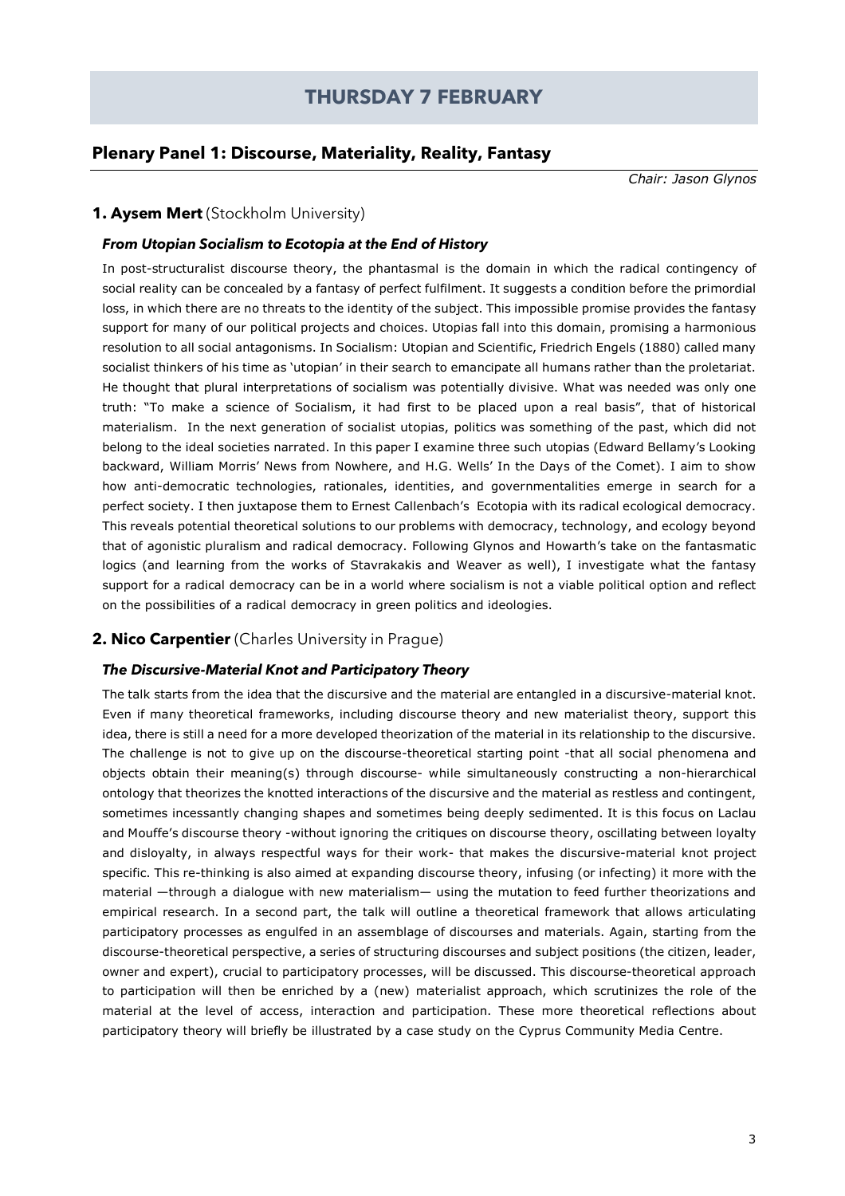# **Plenary Panel 1: Discourse, Materiality, Reality, Fantasy**

*Chair: Jason Glynos*

# **1. Aysem Mert** (Stockholm University)

#### *From Utopian Socialism to Ecotopia at the End of History*

In post-structuralist discourse theory, the phantasmal is the domain in which the radical contingency of social reality can be concealed by a fantasy of perfect fulfilment. It suggests a condition before the primordial loss, in which there are no threats to the identity of the subject. This impossible promise provides the fantasy support for many of our political projects and choices. Utopias fall into this domain, promising a harmonious resolution to all social antagonisms. In Socialism: Utopian and Scientific, Friedrich Engels (1880) called many socialist thinkers of his time as 'utopian' in their search to emancipate all humans rather than the proletariat. He thought that plural interpretations of socialism was potentially divisive. What was needed was only one truth: "To make a science of Socialism, it had first to be placed upon a real basis", that of historical materialism. In the next generation of socialist utopias, politics was something of the past, which did not belong to the ideal societies narrated. In this paper I examine three such utopias (Edward Bellamy's Looking backward, William Morris' News from Nowhere, and H.G. Wells' In the Days of the Comet). I aim to show how anti-democratic technologies, rationales, identities, and governmentalities emerge in search for a perfect society. I then juxtapose them to Ernest Callenbach's Ecotopia with its radical ecological democracy. This reveals potential theoretical solutions to our problems with democracy, technology, and ecology beyond that of agonistic pluralism and radical democracy. Following Glynos and Howarth's take on the fantasmatic logics (and learning from the works of Stavrakakis and Weaver as well), I investigate what the fantasy support for a radical democracy can be in a world where socialism is not a viable political option and reflect on the possibilities of a radical democracy in green politics and ideologies.

# **2. Nico Carpentier** (Charles University in Prague)

# *The Discursive-Material Knot and Participatory Theory*

The talk starts from the idea that the discursive and the material are entangled in a discursive-material knot. Even if many theoretical frameworks, including discourse theory and new materialist theory, support this idea, there is still a need for a more developed theorization of the material in its relationship to the discursive. The challenge is not to give up on the discourse-theoretical starting point -that all social phenomena and objects obtain their meaning(s) through discourse- while simultaneously constructing a non-hierarchical ontology that theorizes the knotted interactions of the discursive and the material as restless and contingent, sometimes incessantly changing shapes and sometimes being deeply sedimented. It is this focus on Laclau and Mouffe's discourse theory -without ignoring the critiques on discourse theory, oscillating between loyalty and disloyalty, in always respectful ways for their work- that makes the discursive-material knot project specific. This re-thinking is also aimed at expanding discourse theory, infusing (or infecting) it more with the material —through a dialogue with new materialism— using the mutation to feed further theorizations and empirical research. In a second part, the talk will outline a theoretical framework that allows articulating participatory processes as engulfed in an assemblage of discourses and materials. Again, starting from the discourse-theoretical perspective, a series of structuring discourses and subject positions (the citizen, leader, owner and expert), crucial to participatory processes, will be discussed. This discourse-theoretical approach to participation will then be enriched by a (new) materialist approach, which scrutinizes the role of the material at the level of access, interaction and participation. These more theoretical reflections about participatory theory will briefly be illustrated by a case study on the Cyprus Community Media Centre.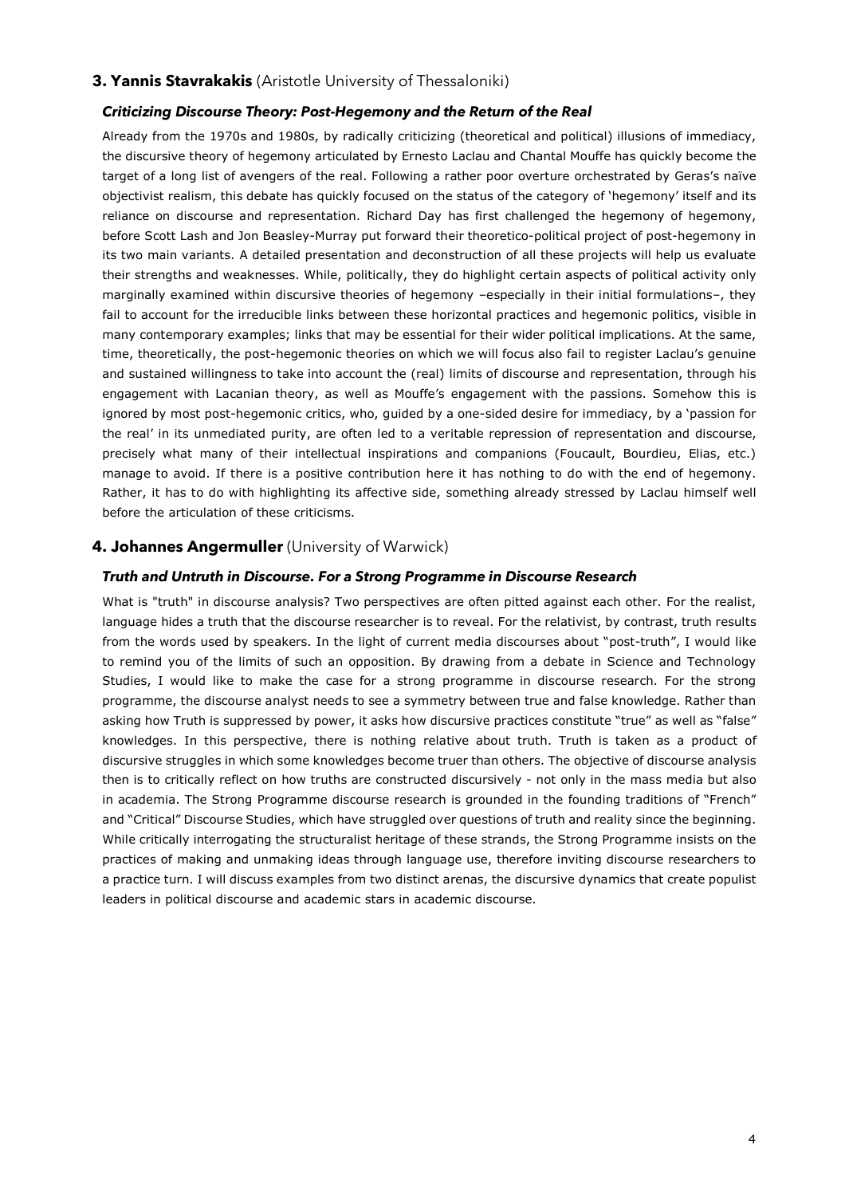# **3. Yannis Stavrakakis** (Aristotle University of Thessaloniki)

#### *Criticizing Discourse Theory: Post-Hegemony and the Return of the Real*

Already from the 1970s and 1980s, by radically criticizing (theoretical and political) illusions of immediacy, the discursive theory of hegemony articulated by Ernesto Laclau and Chantal Mouffe has quickly become the target of a long list of avengers of the real. Following a rather poor overture orchestrated by Geras's naïve objectivist realism, this debate has quickly focused on the status of the category of 'hegemony' itself and its reliance on discourse and representation. Richard Day has first challenged the hegemony of hegemony, before Scott Lash and Jon Beasley-Murray put forward their theoretico-political project of post-hegemony in its two main variants. A detailed presentation and deconstruction of all these projects will help us evaluate their strengths and weaknesses. While, politically, they do highlight certain aspects of political activity only marginally examined within discursive theories of hegemony –especially in their initial formulations–, they fail to account for the irreducible links between these horizontal practices and hegemonic politics, visible in many contemporary examples; links that may be essential for their wider political implications. At the same, time, theoretically, the post-hegemonic theories on which we will focus also fail to register Laclau's genuine and sustained willingness to take into account the (real) limits of discourse and representation, through his engagement with Lacanian theory, as well as Mouffe's engagement with the passions. Somehow this is ignored by most post-hegemonic critics, who, guided by a one-sided desire for immediacy, by a 'passion for the real' in its unmediated purity, are often led to a veritable repression of representation and discourse, precisely what many of their intellectual inspirations and companions (Foucault, Bourdieu, Elias, etc.) manage to avoid. If there is a positive contribution here it has nothing to do with the end of hegemony. Rather, it has to do with highlighting its affective side, something already stressed by Laclau himself well before the articulation of these criticisms.

# **4. Johannes Angermuller** (University of Warwick)

#### *Truth and Untruth in Discourse. For a Strong Programme in Discourse Research*

What is "truth" in discourse analysis? Two perspectives are often pitted against each other. For the realist, language hides a truth that the discourse researcher is to reveal. For the relativist, by contrast, truth results from the words used by speakers. In the light of current media discourses about "post-truth", I would like to remind you of the limits of such an opposition. By drawing from a debate in Science and Technology Studies, I would like to make the case for a strong programme in discourse research. For the strong programme, the discourse analyst needs to see a symmetry between true and false knowledge. Rather than asking how Truth is suppressed by power, it asks how discursive practices constitute "true" as well as "false" knowledges. In this perspective, there is nothing relative about truth. Truth is taken as a product of discursive struggles in which some knowledges become truer than others. The objective of discourse analysis then is to critically reflect on how truths are constructed discursively - not only in the mass media but also in academia. The Strong Programme discourse research is grounded in the founding traditions of "French" and "Critical" Discourse Studies, which have struggled over questions of truth and reality since the beginning. While critically interrogating the structuralist heritage of these strands, the Strong Programme insists on the practices of making and unmaking ideas through language use, therefore inviting discourse researchers to a practice turn. I will discuss examples from two distinct arenas, the discursive dynamics that create populist leaders in political discourse and academic stars in academic discourse.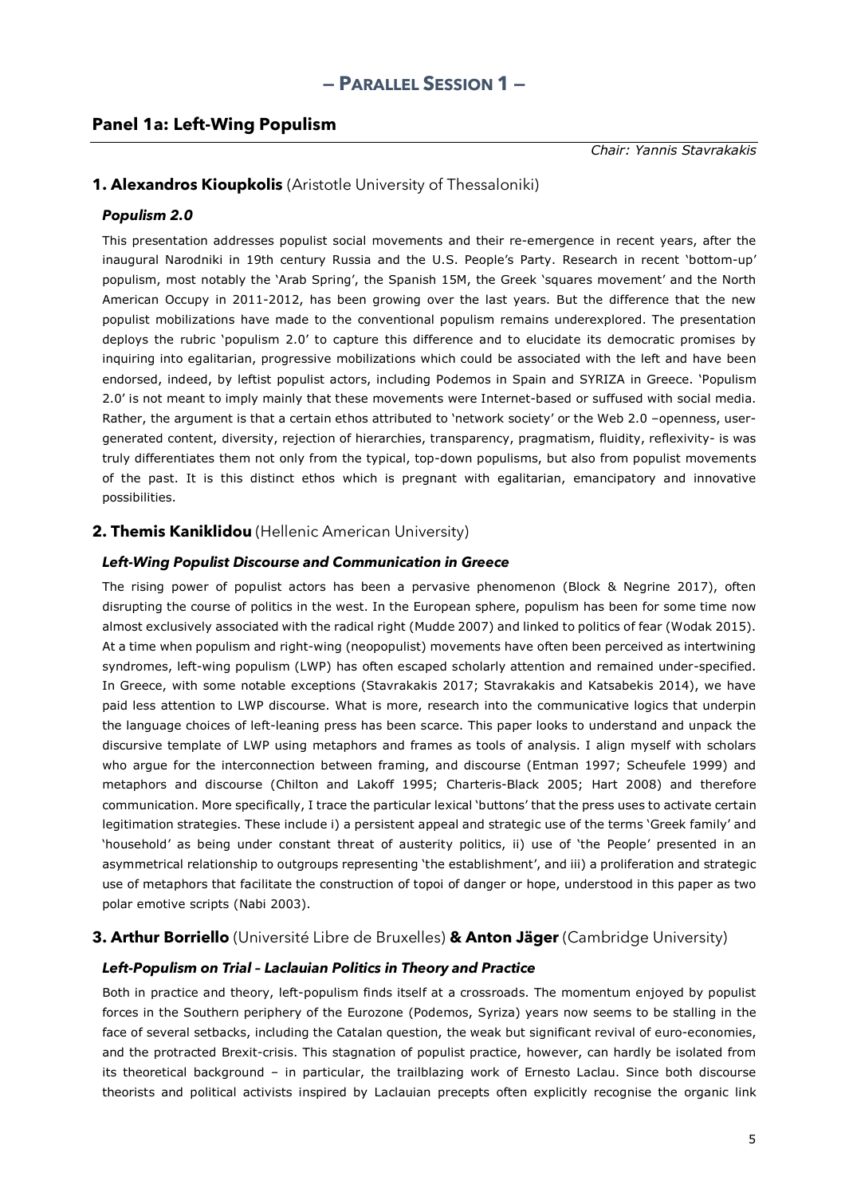# **Panel 1a: Left-Wing Populism**

*Chair: Yannis Stavrakakis*

# **1. Alexandros Kioupkolis** (Aristotle University of Thessaloniki)

# *Populism 2.0*

This presentation addresses populist social movements and their re-emergence in recent years, after the inaugural Narodniki in 19th century Russia and the U.S. People's Party. Research in recent 'bottom-up' populism, most notably the 'Arab Spring', the Spanish 15M, the Greek 'squares movement' and the North American Occupy in 2011-2012, has been growing over the last years. But the difference that the new populist mobilizations have made to the conventional populism remains underexplored. The presentation deploys the rubric 'populism 2.0' to capture this difference and to elucidate its democratic promises by inquiring into egalitarian, progressive mobilizations which could be associated with the left and have been endorsed, indeed, by leftist populist actors, including Podemos in Spain and SYRIZA in Greece. 'Populism 2.0' is not meant to imply mainly that these movements were Internet-based or suffused with social media. Rather, the argument is that a certain ethos attributed to 'network society' or the Web 2.0 –openness, usergenerated content, diversity, rejection of hierarchies, transparency, pragmatism, fluidity, reflexivity- is was truly differentiates them not only from the typical, top-down populisms, but also from populist movements of the past. It is this distinct ethos which is pregnant with egalitarian, emancipatory and innovative possibilities.

# **2. Themis Kaniklidou** (Hellenic American University)

# *Left-Wing Populist Discourse and Communication in Greece*

The rising power of populist actors has been a pervasive phenomenon (Block & Negrine 2017), often disrupting the course of politics in the west. In the European sphere, populism has been for some time now almost exclusively associated with the radical right (Mudde 2007) and linked to politics of fear (Wodak 2015). At a time when populism and right-wing (neopopulist) movements have often been perceived as intertwining syndromes, left-wing populism (LWP) has often escaped scholarly attention and remained under-specified. In Greece, with some notable exceptions (Stavrakakis 2017; Stavrakakis and Katsabekis 2014), we have paid less attention to LWP discourse. What is more, research into the communicative logics that underpin the language choices of left-leaning press has been scarce. This paper looks to understand and unpack the discursive template of LWP using metaphors and frames as tools of analysis. I align myself with scholars who argue for the interconnection between framing, and discourse (Entman 1997; Scheufele 1999) and metaphors and discourse (Chilton and Lakoff 1995; Charteris-Black 2005; Hart 2008) and therefore communication. More specifically, I trace the particular lexical 'buttons' that the press uses to activate certain legitimation strategies. These include i) a persistent appeal and strategic use of the terms 'Greek family' and 'household' as being under constant threat of austerity politics, ii) use of 'the People' presented in an asymmetrical relationship to outgroups representing 'the establishment', and iii) a proliferation and strategic use of metaphors that facilitate the construction of topoi of danger or hope, understood in this paper as two polar emotive scripts (Nabi 2003).

# **3. Arthur Borriello** (Université Libre de Bruxelles) **& Anton Jäger** (Cambridge University)

# *Left-Populism on Trial – Laclauian Politics in Theory and Practice*

Both in practice and theory, left-populism finds itself at a crossroads. The momentum enjoyed by populist forces in the Southern periphery of the Eurozone (Podemos, Syriza) years now seems to be stalling in the face of several setbacks, including the Catalan question, the weak but significant revival of euro-economies, and the protracted Brexit-crisis. This stagnation of populist practice, however, can hardly be isolated from its theoretical background – in particular, the trailblazing work of Ernesto Laclau. Since both discourse theorists and political activists inspired by Laclauian precepts often explicitly recognise the organic link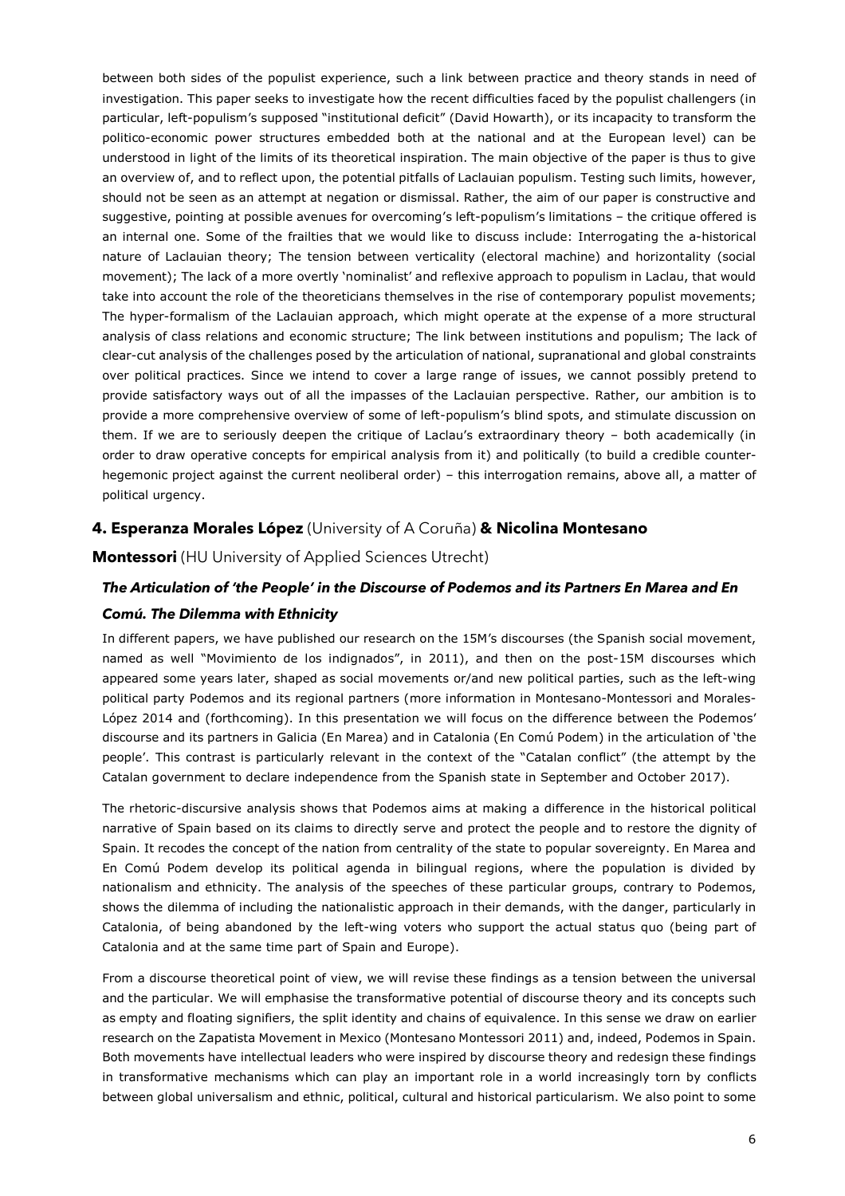between both sides of the populist experience, such a link between practice and theory stands in need of investigation. This paper seeks to investigate how the recent difficulties faced by the populist challengers (in particular, left-populism's supposed "institutional deficit" (David Howarth), or its incapacity to transform the politico-economic power structures embedded both at the national and at the European level) can be understood in light of the limits of its theoretical inspiration. The main objective of the paper is thus to give an overview of, and to reflect upon, the potential pitfalls of Laclauian populism. Testing such limits, however, should not be seen as an attempt at negation or dismissal. Rather, the aim of our paper is constructive and suggestive, pointing at possible avenues for overcoming's left-populism's limitations – the critique offered is an internal one. Some of the frailties that we would like to discuss include: Interrogating the a-historical nature of Laclauian theory; The tension between verticality (electoral machine) and horizontality (social movement); The lack of a more overtly 'nominalist' and reflexive approach to populism in Laclau, that would take into account the role of the theoreticians themselves in the rise of contemporary populist movements; The hyper-formalism of the Laclauian approach, which might operate at the expense of a more structural analysis of class relations and economic structure; The link between institutions and populism; The lack of clear-cut analysis of the challenges posed by the articulation of national, supranational and global constraints over political practices. Since we intend to cover a large range of issues, we cannot possibly pretend to provide satisfactory ways out of all the impasses of the Laclauian perspective. Rather, our ambition is to provide a more comprehensive overview of some of left-populism's blind spots, and stimulate discussion on them. If we are to seriously deepen the critique of Laclau's extraordinary theory – both academically (in order to draw operative concepts for empirical analysis from it) and politically (to build a credible counterhegemonic project against the current neoliberal order) – this interrogation remains, above all, a matter of political urgency.

# **4. Esperanza Morales López** (University of A Coruña) **& Nicolina Montesano**

# **Montessori** (HU University of Applied Sciences Utrecht)

# *The Articulation of 'the People' in the Discourse of Podemos and its Partners En Marea and En*

#### *Comú. The Dilemma with Ethnicity*

In different papers, we have published our research on the 15M's discourses (the Spanish social movement, named as well "Movimiento de los indignados", in 2011), and then on the post-15M discourses which appeared some years later, shaped as social movements or/and new political parties, such as the left-wing political party Podemos and its regional partners (more information in Montesano-Montessori and Morales-López 2014 and (forthcoming). In this presentation we will focus on the difference between the Podemos' discourse and its partners in Galicia (En Marea) and in Catalonia (En Comú Podem) in the articulation of 'the people'. This contrast is particularly relevant in the context of the "Catalan conflict" (the attempt by the Catalan government to declare independence from the Spanish state in September and October 2017).

The rhetoric-discursive analysis shows that Podemos aims at making a difference in the historical political narrative of Spain based on its claims to directly serve and protect the people and to restore the dignity of Spain. It recodes the concept of the nation from centrality of the state to popular sovereignty. En Marea and En Comú Podem develop its political agenda in bilingual regions, where the population is divided by nationalism and ethnicity. The analysis of the speeches of these particular groups, contrary to Podemos, shows the dilemma of including the nationalistic approach in their demands, with the danger, particularly in Catalonia, of being abandoned by the left-wing voters who support the actual status quo (being part of Catalonia and at the same time part of Spain and Europe).

From a discourse theoretical point of view, we will revise these findings as a tension between the universal and the particular. We will emphasise the transformative potential of discourse theory and its concepts such as empty and floating signifiers, the split identity and chains of equivalence. In this sense we draw on earlier research on the Zapatista Movement in Mexico (Montesano Montessori 2011) and, indeed, Podemos in Spain. Both movements have intellectual leaders who were inspired by discourse theory and redesign these findings in transformative mechanisms which can play an important role in a world increasingly torn by conflicts between global universalism and ethnic, political, cultural and historical particularism. We also point to some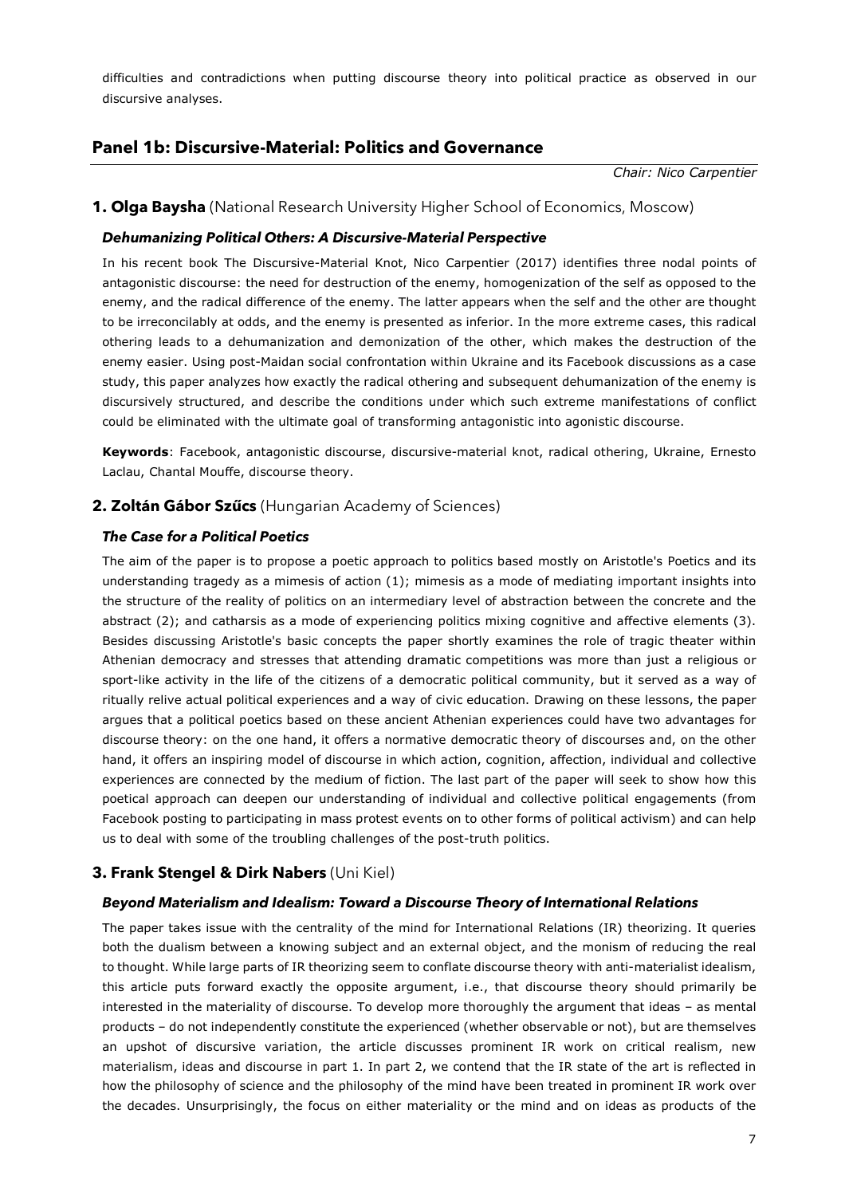difficulties and contradictions when putting discourse theory into political practice as observed in our discursive analyses.

# **Panel 1b: Discursive-Material: Politics and Governance**

*Chair: Nico Carpentier*

#### **1. Olga Baysha** (National Research University Higher School of Economics, Moscow)

#### *Dehumanizing Political Others: A Discursive-Material Perspective*

In his recent book The Discursive-Material Knot, Nico Carpentier (2017) identifies three nodal points of antagonistic discourse: the need for destruction of the enemy, homogenization of the self as opposed to the enemy, and the radical difference of the enemy. The latter appears when the self and the other are thought to be irreconcilably at odds, and the enemy is presented as inferior. In the more extreme cases, this radical othering leads to a dehumanization and demonization of the other, which makes the destruction of the enemy easier. Using post-Maidan social confrontation within Ukraine and its Facebook discussions as a case study, this paper analyzes how exactly the radical othering and subsequent dehumanization of the enemy is discursively structured, and describe the conditions under which such extreme manifestations of conflict could be eliminated with the ultimate goal of transforming antagonistic into agonistic discourse.

**Keywords**: Facebook, antagonistic discourse, discursive-material knot, radical othering, Ukraine, Ernesto Laclau, Chantal Mouffe, discourse theory.

#### **2. Zoltán Gábor Szűcs** (Hungarian Academy of Sciences)

#### *The Case for a Political Poetics*

The aim of the paper is to propose a poetic approach to politics based mostly on Aristotle's Poetics and its understanding tragedy as a mimesis of action (1); mimesis as a mode of mediating important insights into the structure of the reality of politics on an intermediary level of abstraction between the concrete and the abstract (2); and catharsis as a mode of experiencing politics mixing cognitive and affective elements (3). Besides discussing Aristotle's basic concepts the paper shortly examines the role of tragic theater within Athenian democracy and stresses that attending dramatic competitions was more than just a religious or sport-like activity in the life of the citizens of a democratic political community, but it served as a way of ritually relive actual political experiences and a way of civic education. Drawing on these lessons, the paper argues that a political poetics based on these ancient Athenian experiences could have two advantages for discourse theory: on the one hand, it offers a normative democratic theory of discourses and, on the other hand, it offers an inspiring model of discourse in which action, cognition, affection, individual and collective experiences are connected by the medium of fiction. The last part of the paper will seek to show how this poetical approach can deepen our understanding of individual and collective political engagements (from Facebook posting to participating in mass protest events on to other forms of political activism) and can help us to deal with some of the troubling challenges of the post-truth politics.

# **3. Frank Stengel & Dirk Nabers** (Uni Kiel)

#### *Beyond Materialism and Idealism: Toward a Discourse Theory of International Relations*

The paper takes issue with the centrality of the mind for International Relations (IR) theorizing. It queries both the dualism between a knowing subject and an external object, and the monism of reducing the real to thought. While large parts of IR theorizing seem to conflate discourse theory with anti-materialist idealism, this article puts forward exactly the opposite argument, i.e., that discourse theory should primarily be interested in the materiality of discourse. To develop more thoroughly the argument that ideas – as mental products – do not independently constitute the experienced (whether observable or not), but are themselves an upshot of discursive variation, the article discusses prominent IR work on critical realism, new materialism, ideas and discourse in part 1. In part 2, we contend that the IR state of the art is reflected in how the philosophy of science and the philosophy of the mind have been treated in prominent IR work over the decades. Unsurprisingly, the focus on either materiality or the mind and on ideas as products of the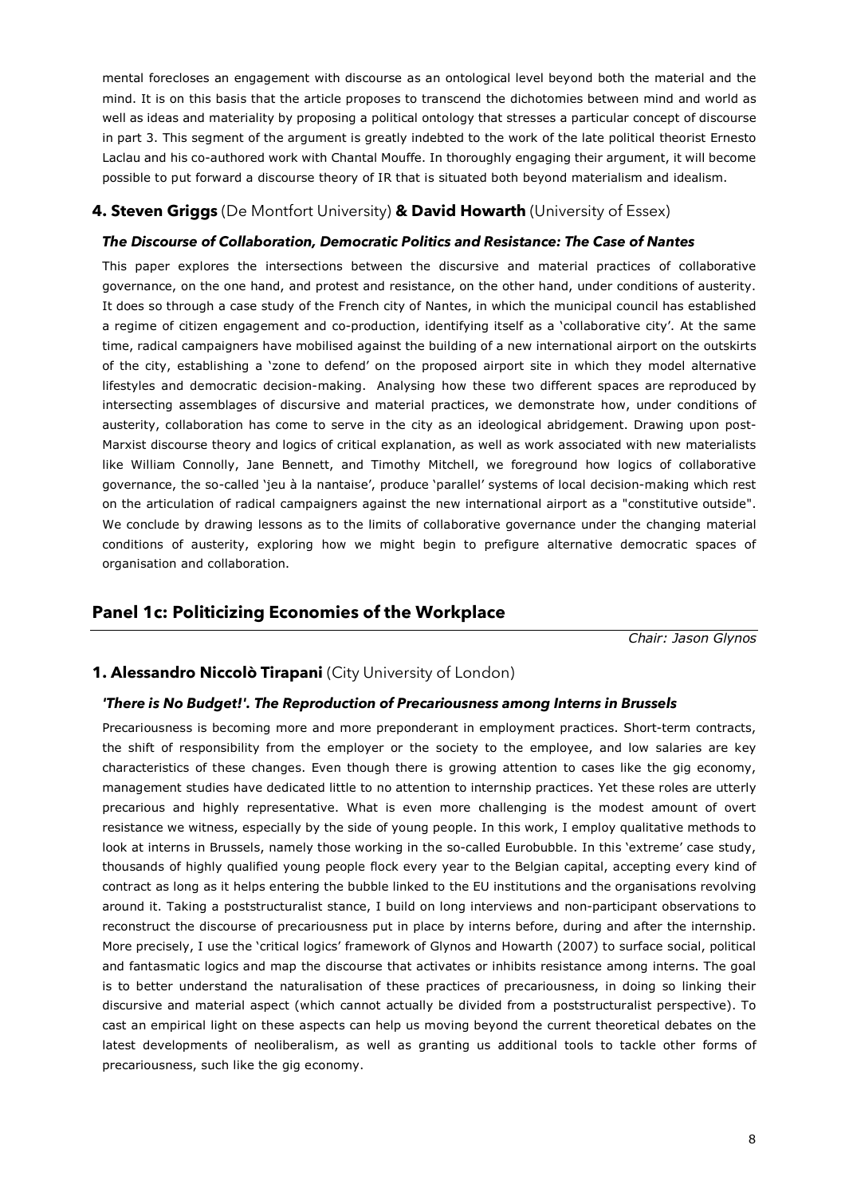mental forecloses an engagement with discourse as an ontological level beyond both the material and the mind. It is on this basis that the article proposes to transcend the dichotomies between mind and world as well as ideas and materiality by proposing a political ontology that stresses a particular concept of discourse in part 3. This segment of the argument is greatly indebted to the work of the late political theorist Ernesto Laclau and his co-authored work with Chantal Mouffe. In thoroughly engaging their argument, it will become possible to put forward a discourse theory of IR that is situated both beyond materialism and idealism.

# **4. Steven Griggs** (De Montfort University) **& David Howarth** (University of Essex)

#### *The Discourse of Collaboration, Democratic Politics and Resistance: The Case of Nantes*

This paper explores the intersections between the discursive and material practices of collaborative governance, on the one hand, and protest and resistance, on the other hand, under conditions of austerity. It does so through a case study of the French city of Nantes, in which the municipal council has established a regime of citizen engagement and co-production, identifying itself as a 'collaborative city'. At the same time, radical campaigners have mobilised against the building of a new international airport on the outskirts of the city, establishing a 'zone to defend' on the proposed airport site in which they model alternative lifestyles and democratic decision-making. Analysing how these two different spaces are reproduced by intersecting assemblages of discursive and material practices, we demonstrate how, under conditions of austerity, collaboration has come to serve in the city as an ideological abridgement. Drawing upon post-Marxist discourse theory and logics of critical explanation, as well as work associated with new materialists like William Connolly, Jane Bennett, and Timothy Mitchell, we foreground how logics of collaborative governance, the so-called 'jeu à la nantaise', produce 'parallel' systems of local decision-making which rest on the articulation of radical campaigners against the new international airport as a "constitutive outside". We conclude by drawing lessons as to the limits of collaborative governance under the changing material conditions of austerity, exploring how we might begin to prefigure alternative democratic spaces of organisation and collaboration.

# **Panel 1c: Politicizing Economies of the Workplace**

*Chair: Jason Glynos*

# **1. Alessandro Niccolò Tirapani** (City University of London)

#### *'There is No Budget!'. The Reproduction of Precariousness among Interns in Brussels*

Precariousness is becoming more and more preponderant in employment practices. Short-term contracts, the shift of responsibility from the employer or the society to the employee, and low salaries are key characteristics of these changes. Even though there is growing attention to cases like the gig economy, management studies have dedicated little to no attention to internship practices. Yet these roles are utterly precarious and highly representative. What is even more challenging is the modest amount of overt resistance we witness, especially by the side of young people. In this work, I employ qualitative methods to look at interns in Brussels, namely those working in the so-called Eurobubble. In this 'extreme' case study, thousands of highly qualified young people flock every year to the Belgian capital, accepting every kind of contract as long as it helps entering the bubble linked to the EU institutions and the organisations revolving around it. Taking a poststructuralist stance, I build on long interviews and non-participant observations to reconstruct the discourse of precariousness put in place by interns before, during and after the internship. More precisely, I use the 'critical logics' framework of Glynos and Howarth (2007) to surface social, political and fantasmatic logics and map the discourse that activates or inhibits resistance among interns. The goal is to better understand the naturalisation of these practices of precariousness, in doing so linking their discursive and material aspect (which cannot actually be divided from a poststructuralist perspective). To cast an empirical light on these aspects can help us moving beyond the current theoretical debates on the latest developments of neoliberalism, as well as granting us additional tools to tackle other forms of precariousness, such like the gig economy.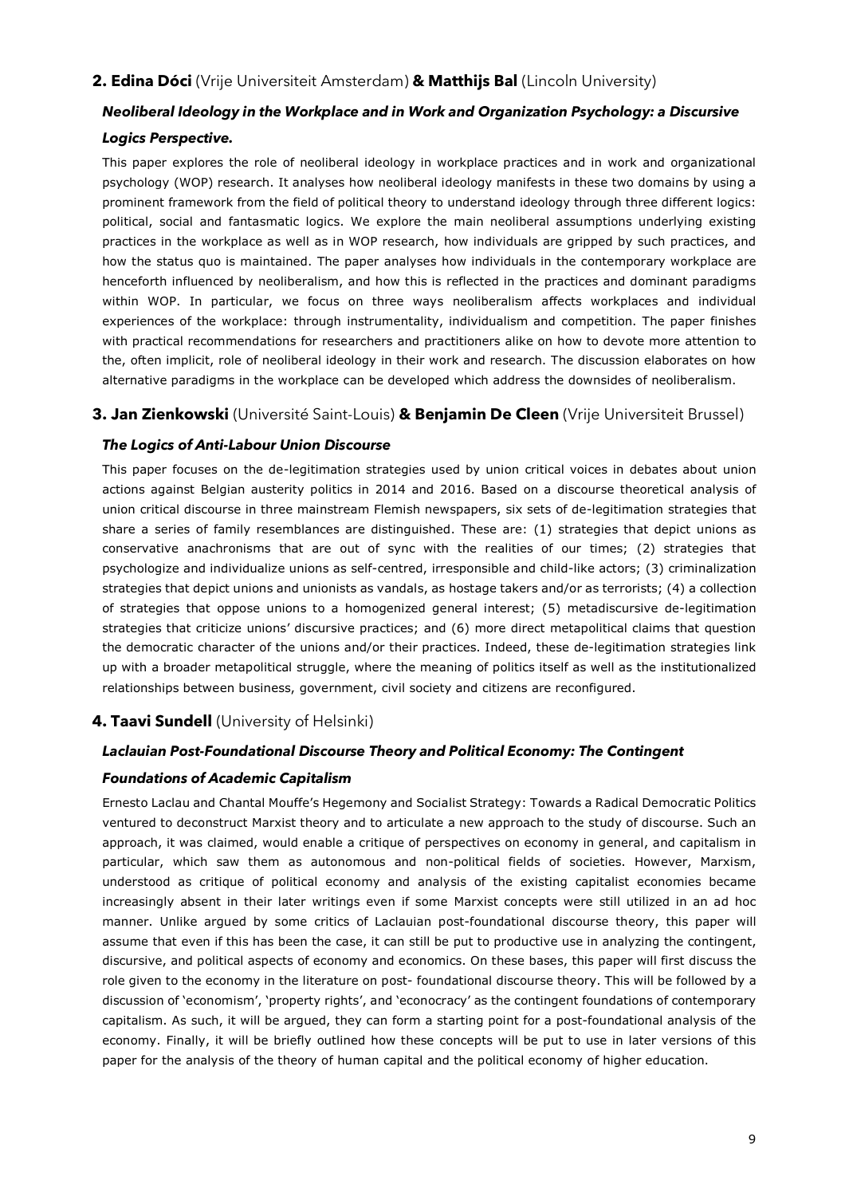# **2. Edina Dóci** (Vrije Universiteit Amsterdam) **& Matthijs Bal** (Lincoln University)

# *Neoliberal Ideology in the Workplace and in Work and Organization Psychology: a Discursive Logics Perspective.*

This paper explores the role of neoliberal ideology in workplace practices and in work and organizational psychology (WOP) research. It analyses how neoliberal ideology manifests in these two domains by using a prominent framework from the field of political theory to understand ideology through three different logics: political, social and fantasmatic logics. We explore the main neoliberal assumptions underlying existing practices in the workplace as well as in WOP research, how individuals are gripped by such practices, and how the status quo is maintained. The paper analyses how individuals in the contemporary workplace are henceforth influenced by neoliberalism, and how this is reflected in the practices and dominant paradigms within WOP. In particular, we focus on three ways neoliberalism affects workplaces and individual experiences of the workplace: through instrumentality, individualism and competition. The paper finishes with practical recommendations for researchers and practitioners alike on how to devote more attention to the, often implicit, role of neoliberal ideology in their work and research. The discussion elaborates on how alternative paradigms in the workplace can be developed which address the downsides of neoliberalism.

# **3. Jan Zienkowski** (Université Saint-Louis) **& Benjamin De Cleen** (Vrije Universiteit Brussel)

# *The Logics of Anti-Labour Union Discourse*

This paper focuses on the de-legitimation strategies used by union critical voices in debates about union actions against Belgian austerity politics in 2014 and 2016. Based on a discourse theoretical analysis of union critical discourse in three mainstream Flemish newspapers, six sets of de-legitimation strategies that share a series of family resemblances are distinguished. These are: (1) strategies that depict unions as conservative anachronisms that are out of sync with the realities of our times; (2) strategies that psychologize and individualize unions as self-centred, irresponsible and child-like actors; (3) criminalization strategies that depict unions and unionists as vandals, as hostage takers and/or as terrorists; (4) a collection of strategies that oppose unions to a homogenized general interest; (5) metadiscursive de-legitimation strategies that criticize unions' discursive practices; and (6) more direct metapolitical claims that question the democratic character of the unions and/or their practices. Indeed, these de-legitimation strategies link up with a broader metapolitical struggle, where the meaning of politics itself as well as the institutionalized relationships between business, government, civil society and citizens are reconfigured.

# **4. Taavi Sundell** (University of Helsinki)

# *Laclauian Post-Foundational Discourse Theory and Political Economy: The Contingent*

# *Foundations of Academic Capitalism*

Ernesto Laclau and Chantal Mouffe's Hegemony and Socialist Strategy: Towards a Radical Democratic Politics ventured to deconstruct Marxist theory and to articulate a new approach to the study of discourse. Such an approach, it was claimed, would enable a critique of perspectives on economy in general, and capitalism in particular, which saw them as autonomous and non-political fields of societies. However, Marxism, understood as critique of political economy and analysis of the existing capitalist economies became increasingly absent in their later writings even if some Marxist concepts were still utilized in an ad hoc manner. Unlike argued by some critics of Laclauian post-foundational discourse theory, this paper will assume that even if this has been the case, it can still be put to productive use in analyzing the contingent, discursive, and political aspects of economy and economics. On these bases, this paper will first discuss the role given to the economy in the literature on post- foundational discourse theory. This will be followed by a discussion of 'economism', 'property rights', and 'econocracy' as the contingent foundations of contemporary capitalism. As such, it will be argued, they can form a starting point for a post-foundational analysis of the economy. Finally, it will be briefly outlined how these concepts will be put to use in later versions of this paper for the analysis of the theory of human capital and the political economy of higher education.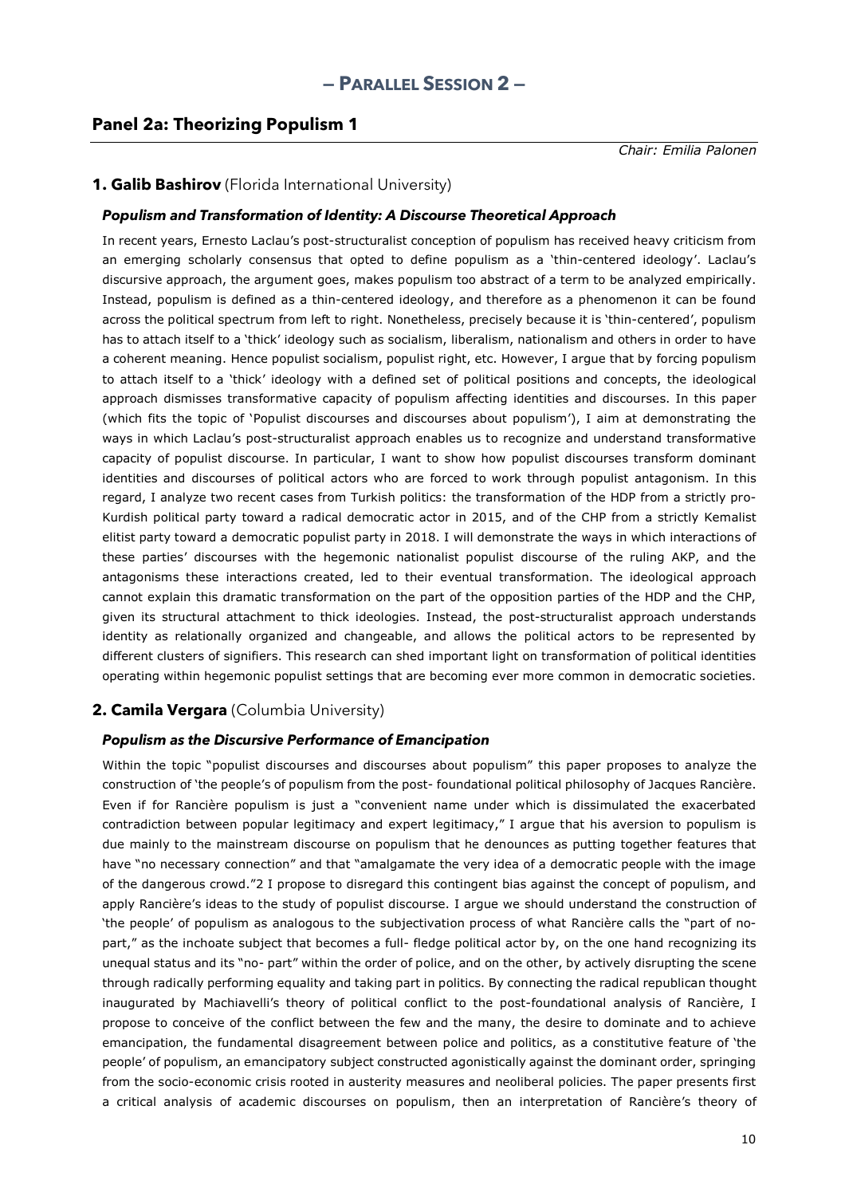# **Panel 2a: Theorizing Populism 1**

*Chair: Emilia Palonen*

# **1. Galib Bashirov** (Florida International University)

#### *Populism and Transformation of Identity: A Discourse Theoretical Approach*

In recent years, Ernesto Laclau's post-structuralist conception of populism has received heavy criticism from an emerging scholarly consensus that opted to define populism as a 'thin-centered ideology'. Laclau's discursive approach, the argument goes, makes populism too abstract of a term to be analyzed empirically. Instead, populism is defined as a thin-centered ideology, and therefore as a phenomenon it can be found across the political spectrum from left to right. Nonetheless, precisely because it is 'thin-centered', populism has to attach itself to a 'thick' ideology such as socialism, liberalism, nationalism and others in order to have a coherent meaning. Hence populist socialism, populist right, etc. However, I argue that by forcing populism to attach itself to a 'thick' ideology with a defined set of political positions and concepts, the ideological approach dismisses transformative capacity of populism affecting identities and discourses. In this paper (which fits the topic of 'Populist discourses and discourses about populism'), I aim at demonstrating the ways in which Laclau's post-structuralist approach enables us to recognize and understand transformative capacity of populist discourse. In particular, I want to show how populist discourses transform dominant identities and discourses of political actors who are forced to work through populist antagonism. In this regard, I analyze two recent cases from Turkish politics: the transformation of the HDP from a strictly pro-Kurdish political party toward a radical democratic actor in 2015, and of the CHP from a strictly Kemalist elitist party toward a democratic populist party in 2018. I will demonstrate the ways in which interactions of these parties' discourses with the hegemonic nationalist populist discourse of the ruling AKP, and the antagonisms these interactions created, led to their eventual transformation. The ideological approach cannot explain this dramatic transformation on the part of the opposition parties of the HDP and the CHP, given its structural attachment to thick ideologies. Instead, the post-structuralist approach understands identity as relationally organized and changeable, and allows the political actors to be represented by different clusters of signifiers. This research can shed important light on transformation of political identities operating within hegemonic populist settings that are becoming ever more common in democratic societies.

# **2. Camila Vergara** (Columbia University)

#### *Populism as the Discursive Performance of Emancipation*

Within the topic "populist discourses and discourses about populism" this paper proposes to analyze the construction of 'the people's of populism from the post- foundational political philosophy of Jacques Rancière. Even if for Rancière populism is just a "convenient name under which is dissimulated the exacerbated contradiction between popular legitimacy and expert legitimacy," I argue that his aversion to populism is due mainly to the mainstream discourse on populism that he denounces as putting together features that have "no necessary connection" and that "amalgamate the very idea of a democratic people with the image of the dangerous crowd."2 I propose to disregard this contingent bias against the concept of populism, and apply Rancière's ideas to the study of populist discourse. I argue we should understand the construction of 'the people' of populism as analogous to the subjectivation process of what Rancière calls the "part of nopart," as the inchoate subject that becomes a full- fledge political actor by, on the one hand recognizing its unequal status and its "no- part" within the order of police, and on the other, by actively disrupting the scene through radically performing equality and taking part in politics. By connecting the radical republican thought inaugurated by Machiavelli's theory of political conflict to the post-foundational analysis of Rancière, I propose to conceive of the conflict between the few and the many, the desire to dominate and to achieve emancipation, the fundamental disagreement between police and politics, as a constitutive feature of 'the people' of populism, an emancipatory subject constructed agonistically against the dominant order, springing from the socio-economic crisis rooted in austerity measures and neoliberal policies. The paper presents first a critical analysis of academic discourses on populism, then an interpretation of Rancière's theory of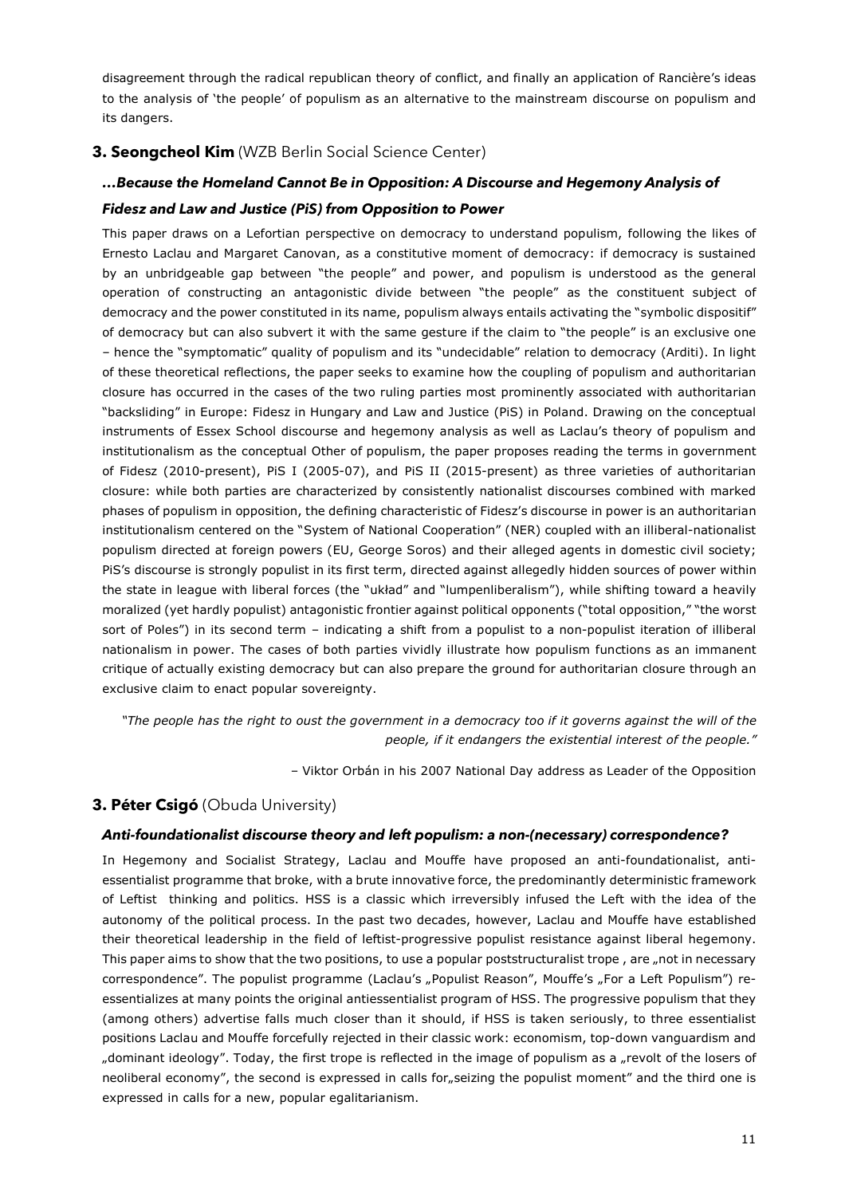disagreement through the radical republican theory of conflict, and finally an application of Rancière's ideas to the analysis of 'the people' of populism as an alternative to the mainstream discourse on populism and its dangers.

# **3. Seongcheol Kim** (WZB Berlin Social Science Center)

#### *…Because the Homeland Cannot Be in Opposition: A Discourse and Hegemony Analysis of*

#### *Fidesz and Law and Justice (PiS) from Opposition to Power*

This paper draws on a Lefortian perspective on democracy to understand populism, following the likes of Ernesto Laclau and Margaret Canovan, as a constitutive moment of democracy: if democracy is sustained by an unbridgeable gap between "the people" and power, and populism is understood as the general operation of constructing an antagonistic divide between "the people" as the constituent subject of democracy and the power constituted in its name, populism always entails activating the "symbolic dispositif" of democracy but can also subvert it with the same gesture if the claim to "the people" is an exclusive one – hence the "symptomatic" quality of populism and its "undecidable" relation to democracy (Arditi). In light of these theoretical reflections, the paper seeks to examine how the coupling of populism and authoritarian closure has occurred in the cases of the two ruling parties most prominently associated with authoritarian "backsliding" in Europe: Fidesz in Hungary and Law and Justice (PiS) in Poland. Drawing on the conceptual instruments of Essex School discourse and hegemony analysis as well as Laclau's theory of populism and institutionalism as the conceptual Other of populism, the paper proposes reading the terms in government of Fidesz (2010-present), PiS I (2005-07), and PiS II (2015-present) as three varieties of authoritarian closure: while both parties are characterized by consistently nationalist discourses combined with marked phases of populism in opposition, the defining characteristic of Fidesz's discourse in power is an authoritarian institutionalism centered on the "System of National Cooperation" (NER) coupled with an illiberal-nationalist populism directed at foreign powers (EU, George Soros) and their alleged agents in domestic civil society; PiS's discourse is strongly populist in its first term, directed against allegedly hidden sources of power within the state in league with liberal forces (the "układ" and "lumpenliberalism"), while shifting toward a heavily moralized (yet hardly populist) antagonistic frontier against political opponents ("total opposition," "the worst sort of Poles") in its second term – indicating a shift from a populist to a non-populist iteration of illiberal nationalism in power. The cases of both parties vividly illustrate how populism functions as an immanent critique of actually existing democracy but can also prepare the ground for authoritarian closure through an exclusive claim to enact popular sovereignty.

*"The people has the right to oust the government in a democracy too if it governs against the will of the people, if it endangers the existential interest of the people."*

– Viktor Orbán in his 2007 National Day address as Leader of the Opposition

# **3. Péter Csigó** (Obuda University)

#### *Anti-foundationalist discourse theory and left populism: a non-(necessary) correspondence?*

In Hegemony and Socialist Strategy, Laclau and Mouffe have proposed an anti-foundationalist, antiessentialist programme that broke, with a brute innovative force, the predominantly deterministic framework of Leftist thinking and politics. HSS is a classic which irreversibly infused the Left with the idea of the autonomy of the political process. In the past two decades, however, Laclau and Mouffe have established their theoretical leadership in the field of leftist-progressive populist resistance against liberal hegemony. This paper aims to show that the two positions, to use a popular poststructuralist trope, are "not in necessary correspondence". The populist programme (Laclau's "Populist Reason", Mouffe's "For a Left Populism") reessentializes at many points the original antiessentialist program of HSS. The progressive populism that they (among others) advertise falls much closer than it should, if HSS is taken seriously, to three essentialist positions Laclau and Mouffe forcefully rejected in their classic work: economism, top-down vanguardism and ", dominant ideology". Today, the first trope is reflected in the image of populism as a "revolt of the losers of neoliberal economy", the second is expressed in calls for"seizing the populist moment" and the third one is expressed in calls for a new, popular egalitarianism.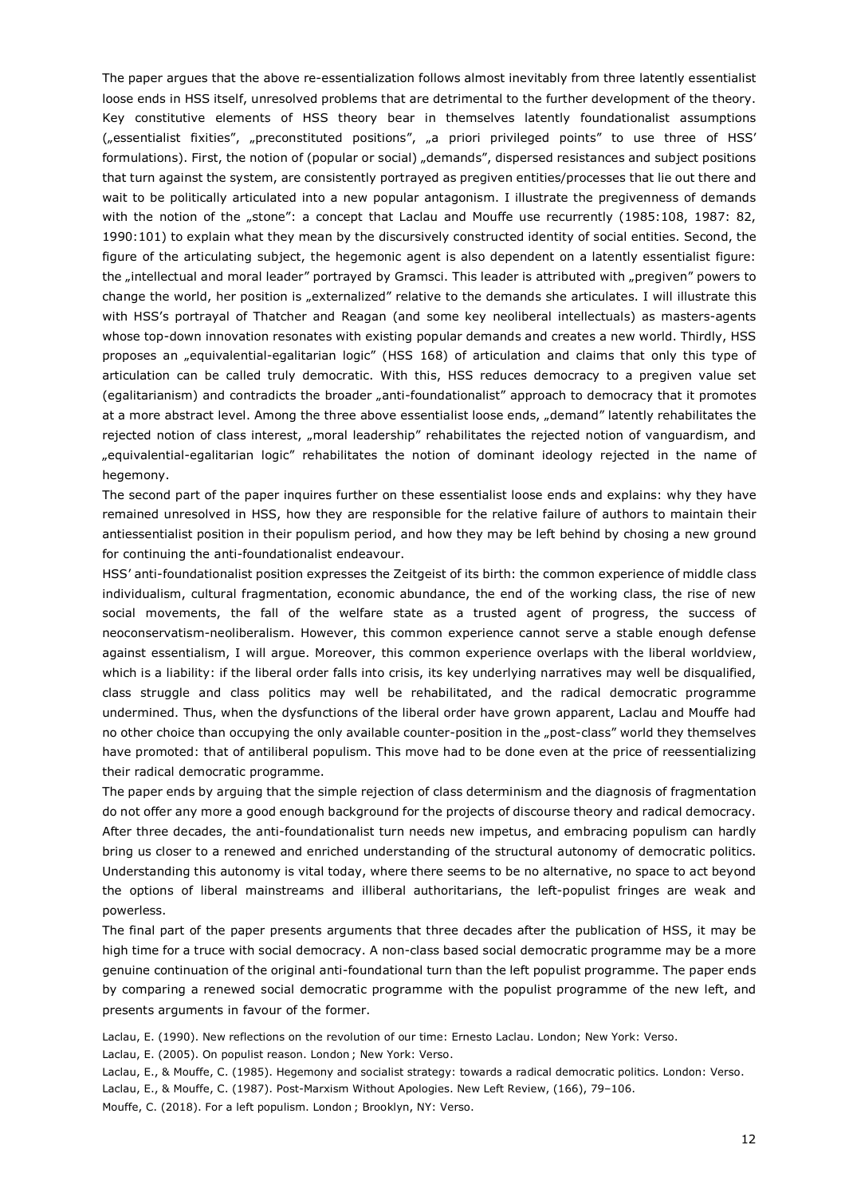The paper argues that the above re-essentialization follows almost inevitably from three latently essentialist loose ends in HSS itself, unresolved problems that are detrimental to the further development of the theory. Key constitutive elements of HSS theory bear in themselves latently foundationalist assumptions ("essentialist fixities", "preconstituted positions", "a priori privileged points" to use three of HSS' formulations). First, the notion of (popular or social) "demands", dispersed resistances and subject positions that turn against the system, are consistently portrayed as pregiven entities/processes that lie out there and wait to be politically articulated into a new popular antagonism. I illustrate the pregivenness of demands with the notion of the "stone": a concept that Laclau and Mouffe use recurrently (1985:108, 1987: 82, 1990:101) to explain what they mean by the discursively constructed identity of social entities. Second, the figure of the articulating subject, the hegemonic agent is also dependent on a latently essentialist figure: the "intellectual and moral leader" portrayed by Gramsci. This leader is attributed with "pregiven" powers to change the world, her position is "externalized" relative to the demands she articulates. I will illustrate this with HSS's portrayal of Thatcher and Reagan (and some key neoliberal intellectuals) as masters-agents whose top-down innovation resonates with existing popular demands and creates a new world. Thirdly, HSS proposes an "equivalential-egalitarian logic" (HSS 168) of articulation and claims that only this type of articulation can be called truly democratic. With this, HSS reduces democracy to a pregiven value set (egalitarianism) and contradicts the broader "anti-foundationalist" approach to democracy that it promotes at a more abstract level. Among the three above essentialist loose ends, "demand" latently rehabilitates the rejected notion of class interest, "moral leadership" rehabilitates the rejected notion of vanguardism, and "equivalential-egalitarian logic" rehabilitates the notion of dominant ideology rejected in the name of hegemony.

The second part of the paper inquires further on these essentialist loose ends and explains: why they have remained unresolved in HSS, how they are responsible for the relative failure of authors to maintain their antiessentialist position in their populism period, and how they may be left behind by chosing a new ground for continuing the anti-foundationalist endeavour.

HSS' anti-foundationalist position expresses the Zeitgeist of its birth: the common experience of middle class individualism, cultural fragmentation, economic abundance, the end of the working class, the rise of new social movements, the fall of the welfare state as a trusted agent of progress, the success of neoconservatism-neoliberalism. However, this common experience cannot serve a stable enough defense against essentialism, I will argue. Moreover, this common experience overlaps with the liberal worldview, which is a liability: if the liberal order falls into crisis, its key underlying narratives may well be disqualified, class struggle and class politics may well be rehabilitated, and the radical democratic programme undermined. Thus, when the dysfunctions of the liberal order have grown apparent, Laclau and Mouffe had no other choice than occupying the only available counter-position in the "post-class" world they themselves have promoted: that of antiliberal populism. This move had to be done even at the price of reessentializing their radical democratic programme.

The paper ends by arguing that the simple rejection of class determinism and the diagnosis of fragmentation do not offer any more a good enough background for the projects of discourse theory and radical democracy. After three decades, the anti-foundationalist turn needs new impetus, and embracing populism can hardly bring us closer to a renewed and enriched understanding of the structural autonomy of democratic politics. Understanding this autonomy is vital today, where there seems to be no alternative, no space to act beyond the options of liberal mainstreams and illiberal authoritarians, the left-populist fringes are weak and powerless.

The final part of the paper presents arguments that three decades after the publication of HSS, it may be high time for a truce with social democracy. A non-class based social democratic programme may be a more genuine continuation of the original anti-foundational turn than the left populist programme. The paper ends by comparing a renewed social democratic programme with the populist programme of the new left, and presents arguments in favour of the former.

Laclau, E. (1990). New reflections on the revolution of our time: Ernesto Laclau. London; New York: Verso.

Laclau, E. (2005). On populist reason. London ; New York: Verso.

Laclau, E., & Mouffe, C. (1985). Hegemony and socialist strategy: towards a radical democratic politics. London: Verso. Laclau, E., & Mouffe, C. (1987). Post-Marxism Without Apologies. New Left Review, (166), 79–106.

Mouffe, C. (2018). For a left populism. London ; Brooklyn, NY: Verso.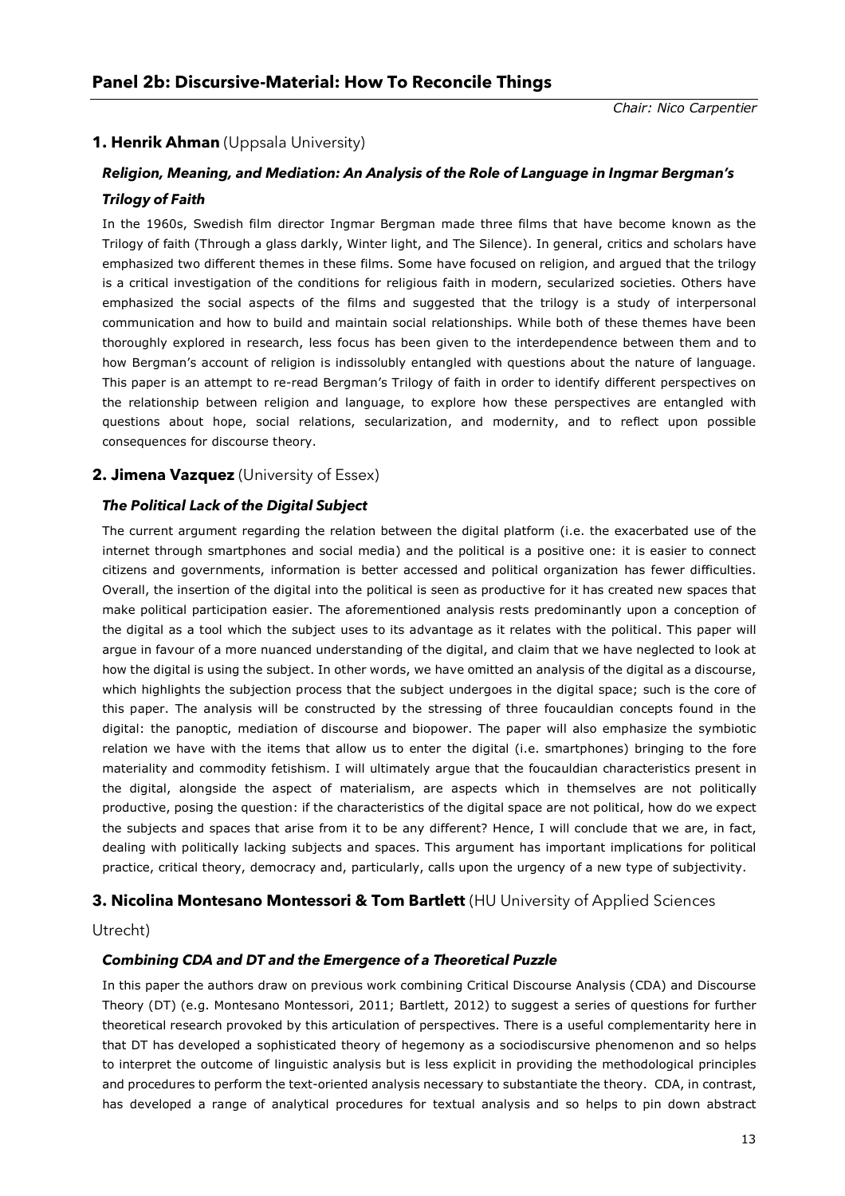*Chair: Nico Carpentier*

# **1. Henrik Ahman** (Uppsala University)

# *Religion, Meaning, and Mediation: An Analysis of the Role of Language in Ingmar Bergman's Trilogy of Faith*

In the 1960s, Swedish film director Ingmar Bergman made three films that have become known as the Trilogy of faith (Through a glass darkly, Winter light, and The Silence). In general, critics and scholars have emphasized two different themes in these films. Some have focused on religion, and argued that the trilogy is a critical investigation of the conditions for religious faith in modern, secularized societies. Others have emphasized the social aspects of the films and suggested that the trilogy is a study of interpersonal communication and how to build and maintain social relationships. While both of these themes have been thoroughly explored in research, less focus has been given to the interdependence between them and to how Bergman's account of religion is indissolubly entangled with questions about the nature of language. This paper is an attempt to re-read Bergman's Trilogy of faith in order to identify different perspectives on the relationship between religion and language, to explore how these perspectives are entangled with questions about hope, social relations, secularization, and modernity, and to reflect upon possible consequences for discourse theory.

# **2. Jimena Vazquez** (University of Essex)

#### *The Political Lack of the Digital Subject*

The current argument regarding the relation between the digital platform (i.e. the exacerbated use of the internet through smartphones and social media) and the political is a positive one: it is easier to connect citizens and governments, information is better accessed and political organization has fewer difficulties. Overall, the insertion of the digital into the political is seen as productive for it has created new spaces that make political participation easier. The aforementioned analysis rests predominantly upon a conception of the digital as a tool which the subject uses to its advantage as it relates with the political. This paper will argue in favour of a more nuanced understanding of the digital, and claim that we have neglected to look at how the digital is using the subject. In other words, we have omitted an analysis of the digital as a discourse, which highlights the subjection process that the subject undergoes in the digital space; such is the core of this paper. The analysis will be constructed by the stressing of three foucauldian concepts found in the digital: the panoptic, mediation of discourse and biopower. The paper will also emphasize the symbiotic relation we have with the items that allow us to enter the digital (i.e. smartphones) bringing to the fore materiality and commodity fetishism. I will ultimately argue that the foucauldian characteristics present in the digital, alongside the aspect of materialism, are aspects which in themselves are not politically productive, posing the question: if the characteristics of the digital space are not political, how do we expect the subjects and spaces that arise from it to be any different? Hence, I will conclude that we are, in fact, dealing with politically lacking subjects and spaces. This argument has important implications for political practice, critical theory, democracy and, particularly, calls upon the urgency of a new type of subjectivity.

# **3. Nicolina Montesano Montessori & Tom Bartlett** (HU University of Applied Sciences

#### Utrecht)

#### *Combining CDA and DT and the Emergence of a Theoretical Puzzle*

In this paper the authors draw on previous work combining Critical Discourse Analysis (CDA) and Discourse Theory (DT) (e.g. Montesano Montessori, 2011; Bartlett, 2012) to suggest a series of questions for further theoretical research provoked by this articulation of perspectives. There is a useful complementarity here in that DT has developed a sophisticated theory of hegemony as a sociodiscursive phenomenon and so helps to interpret the outcome of linguistic analysis but is less explicit in providing the methodological principles and procedures to perform the text-oriented analysis necessary to substantiate the theory. CDA, in contrast, has developed a range of analytical procedures for textual analysis and so helps to pin down abstract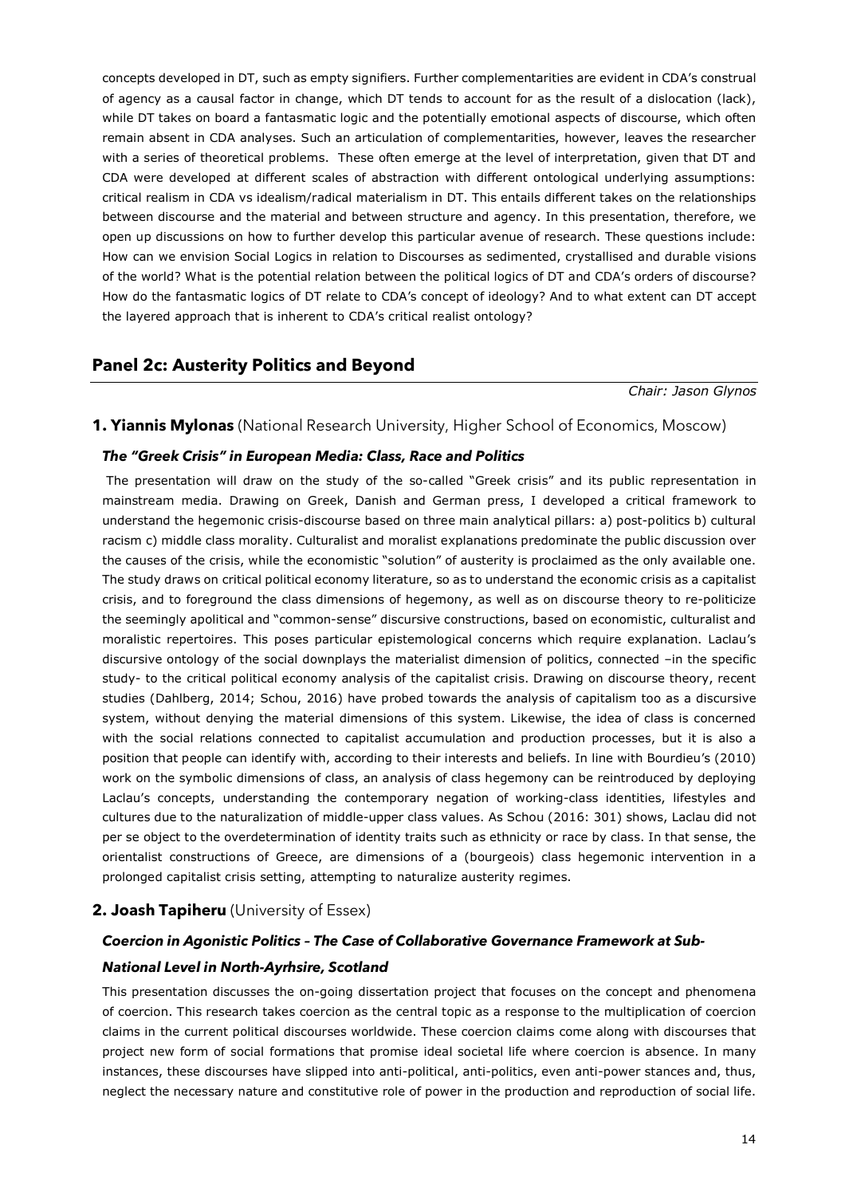concepts developed in DT, such as empty signifiers. Further complementarities are evident in CDA's construal of agency as a causal factor in change, which DT tends to account for as the result of a dislocation (lack), while DT takes on board a fantasmatic logic and the potentially emotional aspects of discourse, which often remain absent in CDA analyses. Such an articulation of complementarities, however, leaves the researcher with a series of theoretical problems. These often emerge at the level of interpretation, given that DT and CDA were developed at different scales of abstraction with different ontological underlying assumptions: critical realism in CDA vs idealism/radical materialism in DT. This entails different takes on the relationships between discourse and the material and between structure and agency. In this presentation, therefore, we open up discussions on how to further develop this particular avenue of research. These questions include: How can we envision Social Logics in relation to Discourses as sedimented, crystallised and durable visions of the world? What is the potential relation between the political logics of DT and CDA's orders of discourse? How do the fantasmatic logics of DT relate to CDA's concept of ideology? And to what extent can DT accept the layered approach that is inherent to CDA's critical realist ontology?

# **Panel 2c: Austerity Politics and Beyond**

*Chair: Jason Glynos*

# **1. Yiannis Mylonas** (National Research University, Higher School of Economics, Moscow)

#### *The "Greek Crisis" in European Media: Class, Race and Politics*

The presentation will draw on the study of the so-called "Greek crisis" and its public representation in mainstream media. Drawing on Greek, Danish and German press, I developed a critical framework to understand the hegemonic crisis-discourse based on three main analytical pillars: a) post-politics b) cultural racism c) middle class morality. Culturalist and moralist explanations predominate the public discussion over the causes of the crisis, while the economistic "solution" of austerity is proclaimed as the only available one. The study draws on critical political economy literature, so as to understand the economic crisis as a capitalist crisis, and to foreground the class dimensions of hegemony, as well as on discourse theory to re-politicize the seemingly apolitical and "common-sense" discursive constructions, based on economistic, culturalist and moralistic repertoires. This poses particular epistemological concerns which require explanation. Laclau's discursive ontology of the social downplays the materialist dimension of politics, connected –in the specific study- to the critical political economy analysis of the capitalist crisis. Drawing on discourse theory, recent studies (Dahlberg, 2014; Schou, 2016) have probed towards the analysis of capitalism too as a discursive system, without denying the material dimensions of this system. Likewise, the idea of class is concerned with the social relations connected to capitalist accumulation and production processes, but it is also a position that people can identify with, according to their interests and beliefs. In line with Bourdieu's (2010) work on the symbolic dimensions of class, an analysis of class hegemony can be reintroduced by deploying Laclau's concepts, understanding the contemporary negation of working-class identities, lifestyles and cultures due to the naturalization of middle-upper class values. As Schou (2016: 301) shows, Laclau did not per se object to the overdetermination of identity traits such as ethnicity or race by class. In that sense, the orientalist constructions of Greece, are dimensions of a (bourgeois) class hegemonic intervention in a prolonged capitalist crisis setting, attempting to naturalize austerity regimes.

# **2. Joash Tapiheru** (University of Essex)

#### *Coercion in Agonistic Politics – The Case of Collaborative Governance Framework at Sub-*

#### *National Level in North-Ayrhsire, Scotland*

This presentation discusses the on-going dissertation project that focuses on the concept and phenomena of coercion. This research takes coercion as the central topic as a response to the multiplication of coercion claims in the current political discourses worldwide. These coercion claims come along with discourses that project new form of social formations that promise ideal societal life where coercion is absence. In many instances, these discourses have slipped into anti-political, anti-politics, even anti-power stances and, thus, neglect the necessary nature and constitutive role of power in the production and reproduction of social life.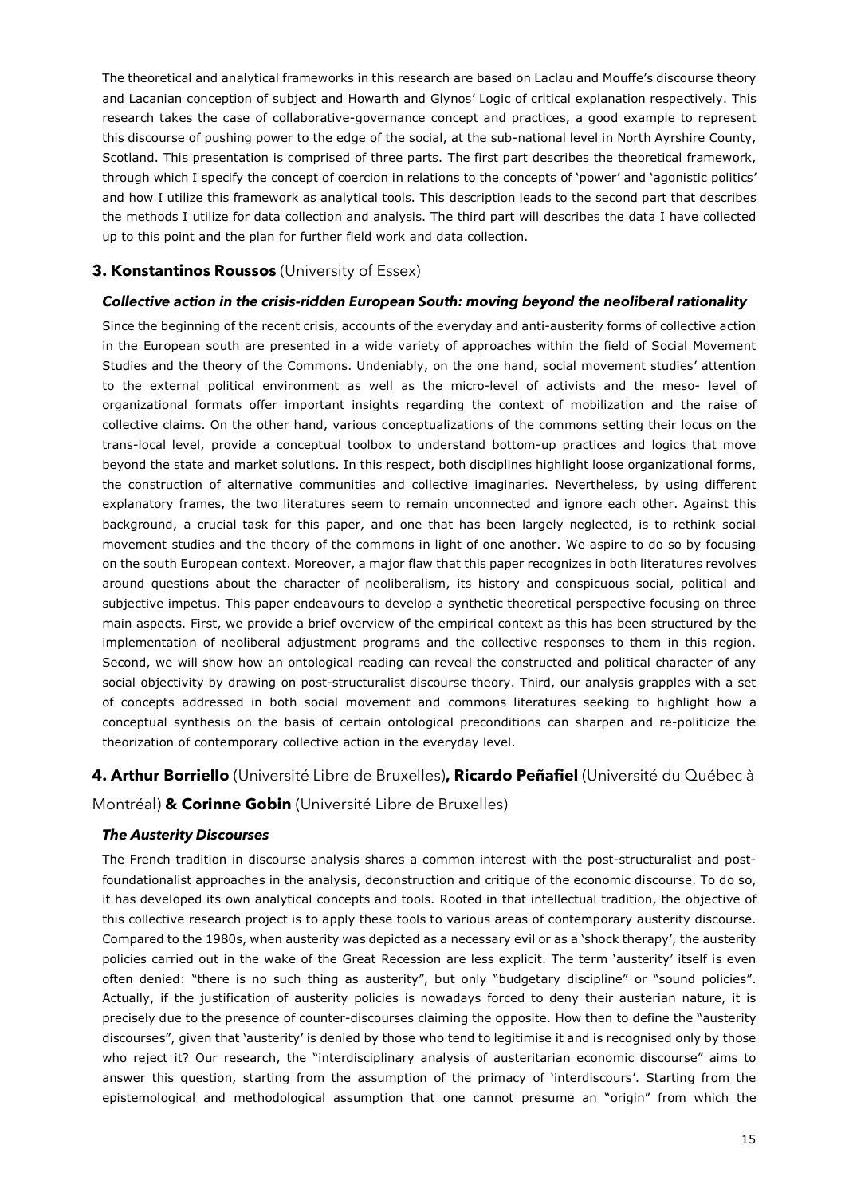The theoretical and analytical frameworks in this research are based on Laclau and Mouffe's discourse theory and Lacanian conception of subject and Howarth and Glynos' Logic of critical explanation respectively. This research takes the case of collaborative-governance concept and practices, a good example to represent this discourse of pushing power to the edge of the social, at the sub-national level in North Ayrshire County, Scotland. This presentation is comprised of three parts. The first part describes the theoretical framework, through which I specify the concept of coercion in relations to the concepts of 'power' and 'agonistic politics' and how I utilize this framework as analytical tools. This description leads to the second part that describes the methods I utilize for data collection and analysis. The third part will describes the data I have collected up to this point and the plan for further field work and data collection.

# **3. Konstantinos Roussos** (University of Essex)

#### *Collective action in the crisis-ridden European South: moving beyond the neoliberal rationality*

Since the beginning of the recent crisis, accounts of the everyday and anti-austerity forms of collective action in the European south are presented in a wide variety of approaches within the field of Social Movement Studies and the theory of the Commons. Undeniably, on the one hand, social movement studies' attention to the external political environment as well as the micro-level of activists and the meso- level of organizational formats offer important insights regarding the context of mobilization and the raise of collective claims. On the other hand, various conceptualizations of the commons setting their locus on the trans-local level, provide a conceptual toolbox to understand bottom-up practices and logics that move beyond the state and market solutions. In this respect, both disciplines highlight loose organizational forms, the construction of alternative communities and collective imaginaries. Nevertheless, by using different explanatory frames, the two literatures seem to remain unconnected and ignore each other. Against this background, a crucial task for this paper, and one that has been largely neglected, is to rethink social movement studies and the theory of the commons in light of one another. We aspire to do so by focusing on the south European context. Moreover, a major flaw that this paper recognizes in both literatures revolves around questions about the character of neoliberalism, its history and conspicuous social, political and subjective impetus. This paper endeavours to develop a synthetic theoretical perspective focusing on three main aspects. First, we provide a brief overview of the empirical context as this has been structured by the implementation of neoliberal adjustment programs and the collective responses to them in this region. Second, we will show how an ontological reading can reveal the constructed and political character of any social objectivity by drawing on post-structuralist discourse theory. Third, our analysis grapples with a set of concepts addressed in both social movement and commons literatures seeking to highlight how a conceptual synthesis on the basis of certain ontological preconditions can sharpen and re-politicize the theorization of contemporary collective action in the everyday level.

# **4. Arthur Borriello** (Université Libre de Bruxelles)**, Ricardo Peñafiel** (Université du Québec à

Montréal) **& Corinne Gobin** (Université Libre de Bruxelles)

# *The Austerity Discourses*

The French tradition in discourse analysis shares a common interest with the post-structuralist and postfoundationalist approaches in the analysis, deconstruction and critique of the economic discourse. To do so, it has developed its own analytical concepts and tools. Rooted in that intellectual tradition, the objective of this collective research project is to apply these tools to various areas of contemporary austerity discourse. Compared to the 1980s, when austerity was depicted as a necessary evil or as a 'shock therapy', the austerity policies carried out in the wake of the Great Recession are less explicit. The term 'austerity' itself is even often denied: "there is no such thing as austerity", but only "budgetary discipline" or "sound policies". Actually, if the justification of austerity policies is nowadays forced to deny their austerian nature, it is precisely due to the presence of counter-discourses claiming the opposite. How then to define the "austerity discourses", given that 'austerity' is denied by those who tend to legitimise it and is recognised only by those who reject it? Our research, the "interdisciplinary analysis of austeritarian economic discourse" aims to answer this question, starting from the assumption of the primacy of 'interdiscours'. Starting from the epistemological and methodological assumption that one cannot presume an "origin" from which the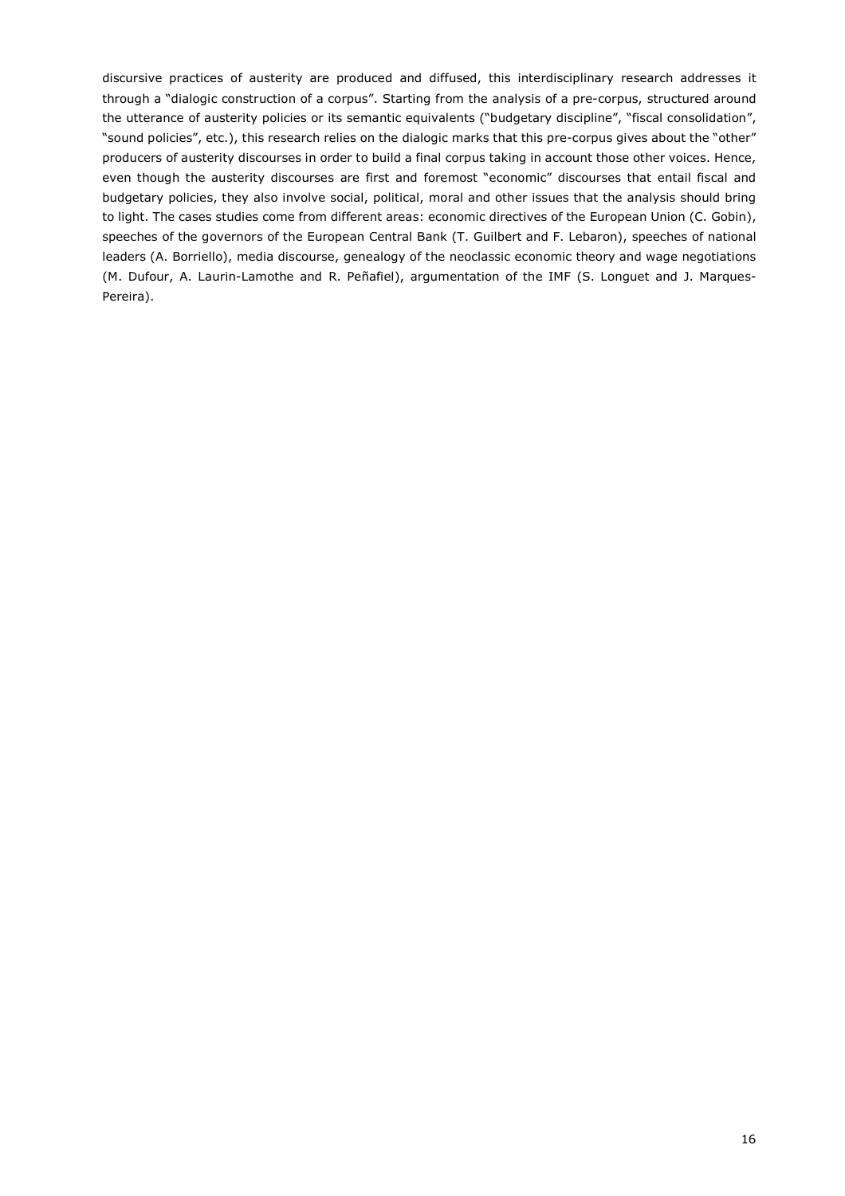discursive practices of austerity are produced and diffused, this interdisciplinary research addresses it through a "dialogic construction of a corpus". Starting from the analysis of a pre-corpus, structured around the utterance of austerity policies or its semantic equivalents ("budgetary discipline", "fiscal consolidation", "sound policies", etc.), this research relies on the dialogic marks that this pre-corpus gives about the "other" producers of austerity discourses in order to build a final corpus taking in account those other voices. Hence, even though the austerity discourses are first and foremost "economic" discourses that entail fiscal and budgetary policies, they also involve social, political, moral and other issues that the analysis should bring to light. The cases studies come from different areas: economic directives of the European Union (C. Gobin), speeches of the governors of the European Central Bank (T. Guilbert and F. Lebaron), speeches of national leaders (A. Borriello), media discourse, genealogy of the neoclassic economic theory and wage negotiations (M. Dufour, A. Laurin-Lamothe and R. Peñafiel), argumentation of the IMF (S. Longuet and J. Marques-Pereira).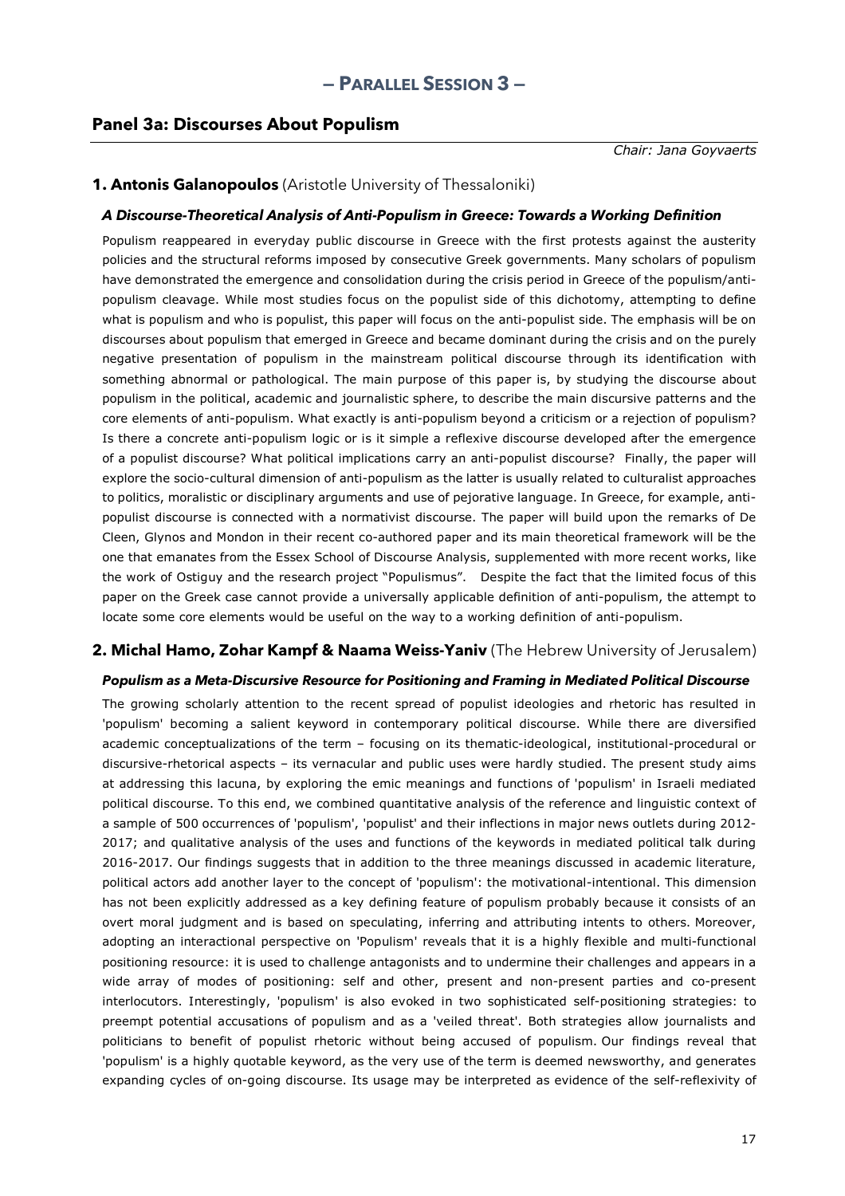# **Panel 3a: Discourses About Populism**

*Chair: Jana Goyvaerts*

# **1. Antonis Galanopoulos** (Aristotle University of Thessaloniki)

#### *A Discourse-Theoretical Analysis of Anti-Populism in Greece: Towards a Working Definition*

Populism reappeared in everyday public discourse in Greece with the first protests against the austerity policies and the structural reforms imposed by consecutive Greek governments. Many scholars of populism have demonstrated the emergence and consolidation during the crisis period in Greece of the populism/antipopulism cleavage. While most studies focus on the populist side of this dichotomy, attempting to define what is populism and who is populist, this paper will focus on the anti-populist side. The emphasis will be on discourses about populism that emerged in Greece and became dominant during the crisis and on the purely negative presentation of populism in the mainstream political discourse through its identification with something abnormal or pathological. The main purpose of this paper is, by studying the discourse about populism in the political, academic and journalistic sphere, to describe the main discursive patterns and the core elements of anti-populism. What exactly is anti-populism beyond a criticism or a rejection of populism? Is there a concrete anti-populism logic or is it simple a reflexive discourse developed after the emergence of a populist discourse? What political implications carry an anti-populist discourse? Finally, the paper will explore the socio-cultural dimension of anti-populism as the latter is usually related to culturalist approaches to politics, moralistic or disciplinary arguments and use of pejorative language. In Greece, for example, antipopulist discourse is connected with a normativist discourse. The paper will build upon the remarks of De Cleen, Glynos and Mondon in their recent co-authored paper and its main theoretical framework will be the one that emanates from the Essex School of Discourse Analysis, supplemented with more recent works, like the work of Ostiguy and the research project "Populismus". Despite the fact that the limited focus of this paper on the Greek case cannot provide a universally applicable definition of anti-populism, the attempt to locate some core elements would be useful on the way to a working definition of anti-populism.

# **2. Michal Hamo, Zohar Kampf & Naama Weiss-Yaniv** (The Hebrew University of Jerusalem)

#### *Populism as a Meta-Discursive Resource for Positioning and Framing in Mediated Political Discourse*

The growing scholarly attention to the recent spread of populist ideologies and rhetoric has resulted in 'populism' becoming a salient keyword in contemporary political discourse. While there are diversified academic conceptualizations of the term – focusing on its thematic-ideological, institutional-procedural or discursive-rhetorical aspects – its vernacular and public uses were hardly studied. The present study aims at addressing this lacuna, by exploring the emic meanings and functions of 'populism' in Israeli mediated political discourse. To this end, we combined quantitative analysis of the reference and linguistic context of a sample of 500 occurrences of 'populism', 'populist' and their inflections in major news outlets during 2012- 2017; and qualitative analysis of the uses and functions of the keywords in mediated political talk during 2016-2017. Our findings suggests that in addition to the three meanings discussed in academic literature, political actors add another layer to the concept of 'populism': the motivational-intentional. This dimension has not been explicitly addressed as a key defining feature of populism probably because it consists of an overt moral judgment and is based on speculating, inferring and attributing intents to others. Moreover, adopting an interactional perspective on 'Populism' reveals that it is a highly flexible and multi-functional positioning resource: it is used to challenge antagonists and to undermine their challenges and appears in a wide array of modes of positioning: self and other, present and non-present parties and co-present interlocutors. Interestingly, 'populism' is also evoked in two sophisticated self-positioning strategies: to preempt potential accusations of populism and as a 'veiled threat'. Both strategies allow journalists and politicians to benefit of populist rhetoric without being accused of populism. Our findings reveal that 'populism' is a highly quotable keyword, as the very use of the term is deemed newsworthy, and generates expanding cycles of on-going discourse. Its usage may be interpreted as evidence of the self-reflexivity of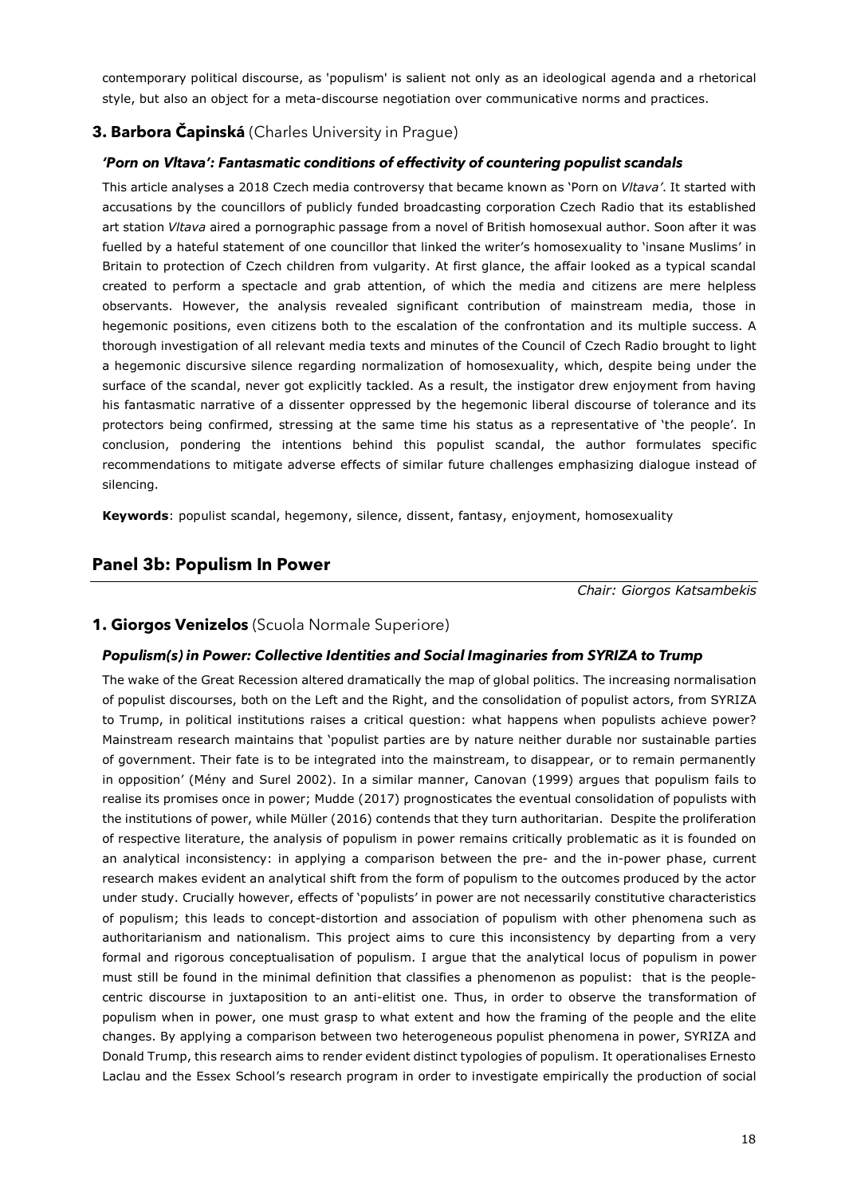contemporary political discourse, as 'populism' is salient not only as an ideological agenda and a rhetorical style, but also an object for a meta-discourse negotiation over communicative norms and practices.

# **3. Barbora Čapinská** (Charles University in Prague)

#### *'Porn on Vltava': Fantasmatic conditions of effectivity of countering populist scandals*

This article analyses a 2018 Czech media controversy that became known as 'Porn on *Vltava'*. It started with accusations by the councillors of publicly funded broadcasting corporation Czech Radio that its established art station *Vltava* aired a pornographic passage from a novel of British homosexual author. Soon after it was fuelled by a hateful statement of one councillor that linked the writer's homosexuality to 'insane Muslims' in Britain to protection of Czech children from vulgarity. At first glance, the affair looked as a typical scandal created to perform a spectacle and grab attention, of which the media and citizens are mere helpless observants. However, the analysis revealed significant contribution of mainstream media, those in hegemonic positions, even citizens both to the escalation of the confrontation and its multiple success. A thorough investigation of all relevant media texts and minutes of the Council of Czech Radio brought to light a hegemonic discursive silence regarding normalization of homosexuality, which, despite being under the surface of the scandal, never got explicitly tackled. As a result, the instigator drew enjoyment from having his fantasmatic narrative of a dissenter oppressed by the hegemonic liberal discourse of tolerance and its protectors being confirmed, stressing at the same time his status as a representative of 'the people'. In conclusion, pondering the intentions behind this populist scandal, the author formulates specific recommendations to mitigate adverse effects of similar future challenges emphasizing dialogue instead of silencing.

**Keywords**: populist scandal, hegemony, silence, dissent, fantasy, enjoyment, homosexuality

# **Panel 3b: Populism In Power**

*Chair: Giorgos Katsambekis*

#### **1. Giorgos Venizelos** (Scuola Normale Superiore)

#### *Populism(s) in Power: Collective Identities and Social Imaginaries from SYRIZA to Trump*

The wake of the Great Recession altered dramatically the map of global politics. The increasing normalisation of populist discourses, both on the Left and the Right, and the consolidation of populist actors, from SYRIZA to Trump, in political institutions raises a critical question: what happens when populists achieve power? Mainstream research maintains that 'populist parties are by nature neither durable nor sustainable parties of government. Their fate is to be integrated into the mainstream, to disappear, or to remain permanently in opposition' (Mény and Surel 2002). In a similar manner, Canovan (1999) argues that populism fails to realise its promises once in power; Mudde (2017) prognosticates the eventual consolidation of populists with the institutions of power, while Müller (2016) contends that they turn authoritarian. Despite the proliferation of respective literature, the analysis of populism in power remains critically problematic as it is founded on an analytical inconsistency: in applying a comparison between the pre- and the in-power phase, current research makes evident an analytical shift from the form of populism to the outcomes produced by the actor under study. Crucially however, effects of 'populists' in power are not necessarily constitutive characteristics of populism; this leads to concept-distortion and association of populism with other phenomena such as authoritarianism and nationalism. This project aims to cure this inconsistency by departing from a very formal and rigorous conceptualisation of populism. I argue that the analytical locus of populism in power must still be found in the minimal definition that classifies a phenomenon as populist: that is the peoplecentric discourse in juxtaposition to an anti-elitist one. Thus, in order to observe the transformation of populism when in power, one must grasp to what extent and how the framing of the people and the elite changes. By applying a comparison between two heterogeneous populist phenomena in power, SYRIZA and Donald Trump, this research aims to render evident distinct typologies of populism. It operationalises Ernesto Laclau and the Essex School's research program in order to investigate empirically the production of social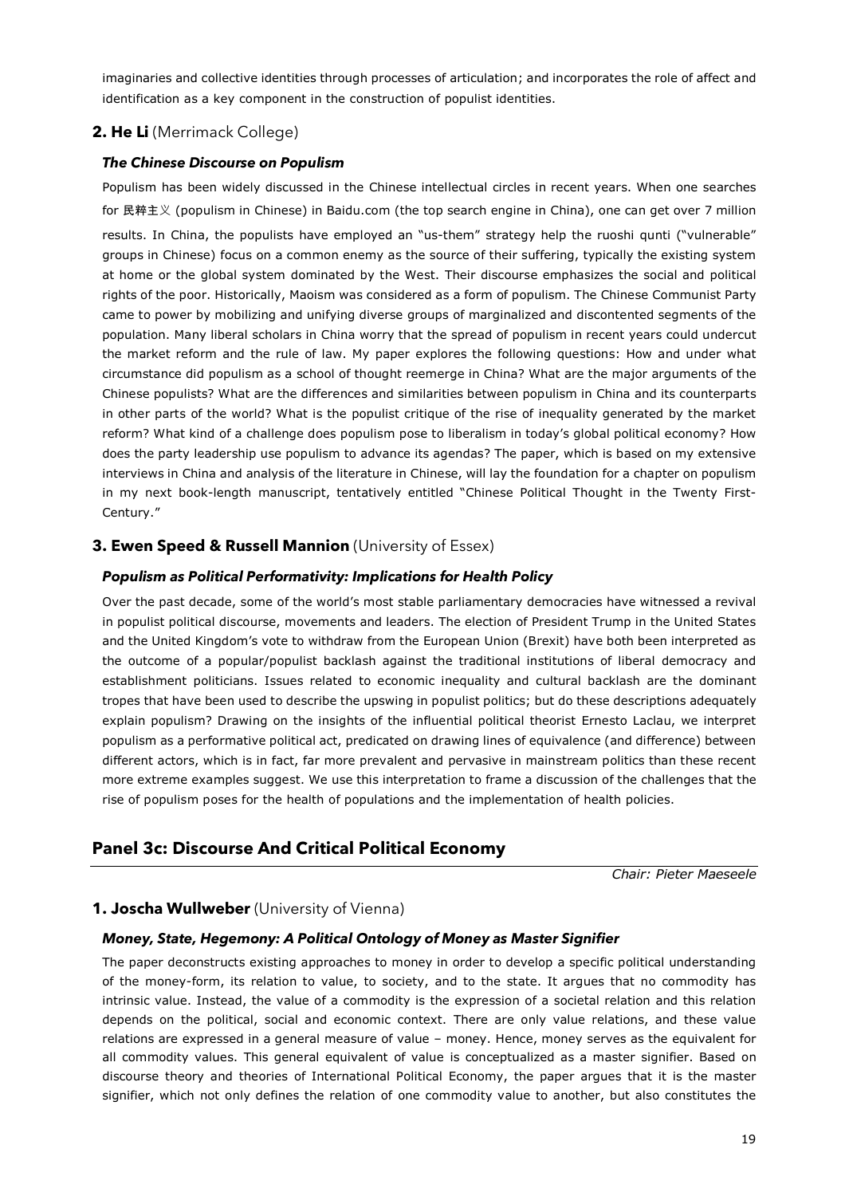imaginaries and collective identities through processes of articulation; and incorporates the role of affect and identification as a key component in the construction of populist identities.

# **2. He Li** (Merrimack College)

#### *The Chinese Discourse on Populism*

Populism has been widely discussed in the Chinese intellectual circles in recent years. When one searches for 民粹主义 (populism in Chinese) in Baidu.com (the top search engine in China), one can get over 7 million

results. In China, the populists have employed an "us-them" strategy help the ruoshi qunti ("vulnerable" groups in Chinese) focus on a common enemy as the source of their suffering, typically the existing system at home or the global system dominated by the West. Their discourse emphasizes the social and political rights of the poor. Historically, Maoism was considered as a form of populism. The Chinese Communist Party came to power by mobilizing and unifying diverse groups of marginalized and discontented segments of the population. Many liberal scholars in China worry that the spread of populism in recent years could undercut the market reform and the rule of law. My paper explores the following questions: How and under what circumstance did populism as a school of thought reemerge in China? What are the major arguments of the Chinese populists? What are the differences and similarities between populism in China and its counterparts in other parts of the world? What is the populist critique of the rise of inequality generated by the market reform? What kind of a challenge does populism pose to liberalism in today's global political economy? How does the party leadership use populism to advance its agendas? The paper, which is based on my extensive interviews in China and analysis of the literature in Chinese, will lay the foundation for a chapter on populism in my next book-length manuscript, tentatively entitled "Chinese Political Thought in the Twenty First-Century."

# **3. Ewen Speed & Russell Mannion** (University of Essex)

#### *Populism as Political Performativity: Implications for Health Policy*

Over the past decade, some of the world's most stable parliamentary democracies have witnessed a revival in populist political discourse, movements and leaders. The election of President Trump in the United States and the United Kingdom's vote to withdraw from the European Union (Brexit) have both been interpreted as the outcome of a popular/populist backlash against the traditional institutions of liberal democracy and establishment politicians. Issues related to economic inequality and cultural backlash are the dominant tropes that have been used to describe the upswing in populist politics; but do these descriptions adequately explain populism? Drawing on the insights of the influential political theorist Ernesto Laclau, we interpret populism as a performative political act, predicated on drawing lines of equivalence (and difference) between different actors, which is in fact, far more prevalent and pervasive in mainstream politics than these recent more extreme examples suggest. We use this interpretation to frame a discussion of the challenges that the rise of populism poses for the health of populations and the implementation of health policies.

# **Panel 3c: Discourse And Critical Political Economy**

*Chair: Pieter Maeseele*

# **1. Joscha Wullweber** (University of Vienna)

#### *Money, State, Hegemony: A Political Ontology of Money as Master Signifier*

The paper deconstructs existing approaches to money in order to develop a specific political understanding of the money-form, its relation to value, to society, and to the state. It argues that no commodity has intrinsic value. Instead, the value of a commodity is the expression of a societal relation and this relation depends on the political, social and economic context. There are only value relations, and these value relations are expressed in a general measure of value – money. Hence, money serves as the equivalent for all commodity values. This general equivalent of value is conceptualized as a master signifier. Based on discourse theory and theories of International Political Economy, the paper argues that it is the master signifier, which not only defines the relation of one commodity value to another, but also constitutes the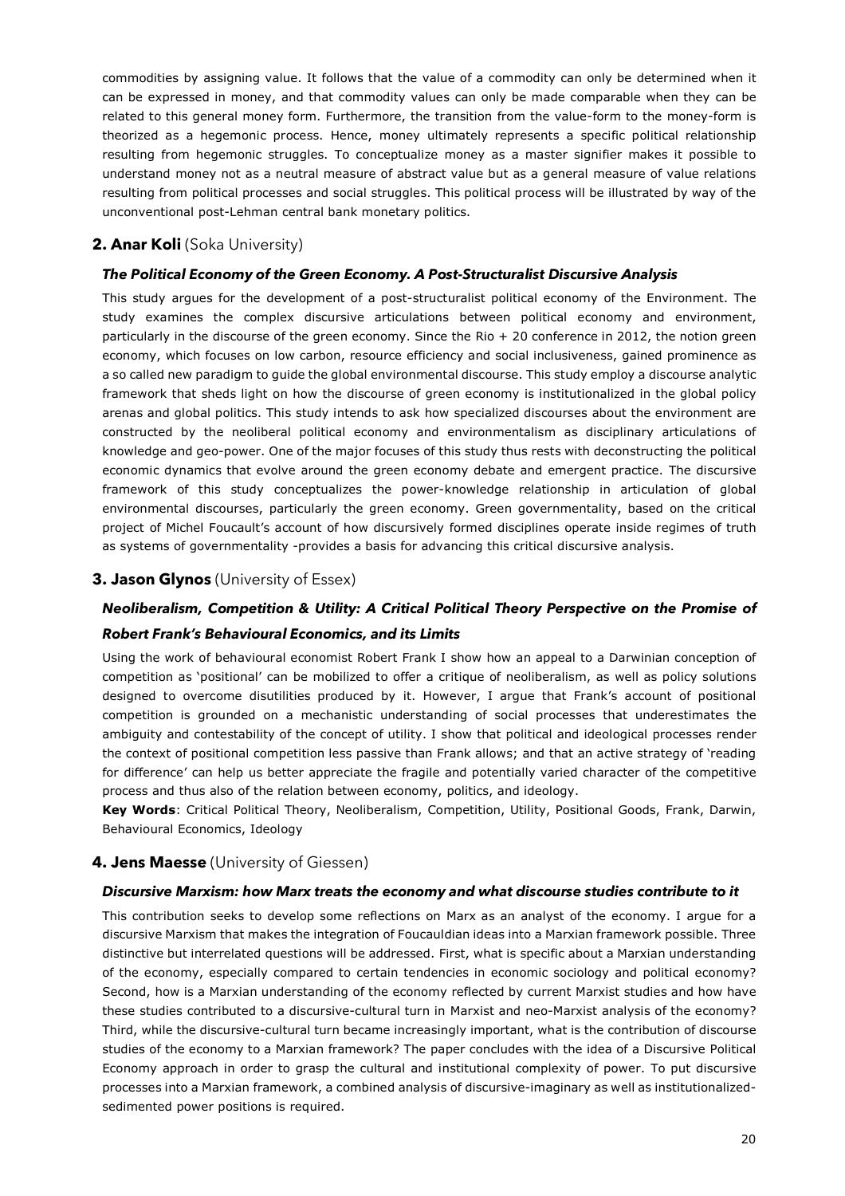commodities by assigning value. It follows that the value of a commodity can only be determined when it can be expressed in money, and that commodity values can only be made comparable when they can be related to this general money form. Furthermore, the transition from the value-form to the money-form is theorized as a hegemonic process. Hence, money ultimately represents a specific political relationship resulting from hegemonic struggles. To conceptualize money as a master signifier makes it possible to understand money not as a neutral measure of abstract value but as a general measure of value relations resulting from political processes and social struggles. This political process will be illustrated by way of the unconventional post-Lehman central bank monetary politics.

# **2. Anar Koli** (Soka University)

#### *The Political Economy of the Green Economy. A Post-Structuralist Discursive Analysis*

This study argues for the development of a post-structuralist political economy of the Environment. The study examines the complex discursive articulations between political economy and environment, particularly in the discourse of the green economy. Since the Rio + 20 conference in 2012, the notion green economy, which focuses on low carbon, resource efficiency and social inclusiveness, gained prominence as a so called new paradigm to guide the global environmental discourse. This study employ a discourse analytic framework that sheds light on how the discourse of green economy is institutionalized in the global policy arenas and global politics. This study intends to ask how specialized discourses about the environment are constructed by the neoliberal political economy and environmentalism as disciplinary articulations of knowledge and geo-power. One of the major focuses of this study thus rests with deconstructing the political economic dynamics that evolve around the green economy debate and emergent practice. The discursive framework of this study conceptualizes the power-knowledge relationship in articulation of global environmental discourses, particularly the green economy. Green governmentality, based on the critical project of Michel Foucault's account of how discursively formed disciplines operate inside regimes of truth as systems of governmentality -provides a basis for advancing this critical discursive analysis.

#### **3. Jason Glynos** (University of Essex)

# *Neoliberalism, Competition & Utility: A Critical Political Theory Perspective on the Promise of Robert Frank's Behavioural Economics, and its Limits*

Using the work of behavioural economist Robert Frank I show how an appeal to a Darwinian conception of competition as 'positional' can be mobilized to offer a critique of neoliberalism, as well as policy solutions designed to overcome disutilities produced by it. However, I argue that Frank's account of positional competition is grounded on a mechanistic understanding of social processes that underestimates the ambiguity and contestability of the concept of utility. I show that political and ideological processes render the context of positional competition less passive than Frank allows; and that an active strategy of 'reading for difference' can help us better appreciate the fragile and potentially varied character of the competitive process and thus also of the relation between economy, politics, and ideology.

**Key Words**: Critical Political Theory, Neoliberalism, Competition, Utility, Positional Goods, Frank, Darwin, Behavioural Economics, Ideology

# **4. Jens Maesse** (University of Giessen)

#### *Discursive Marxism: how Marx treats the economy and what discourse studies contribute to it*

This contribution seeks to develop some reflections on Marx as an analyst of the economy. I argue for a discursive Marxism that makes the integration of Foucauldian ideas into a Marxian framework possible. Three distinctive but interrelated questions will be addressed. First, what is specific about a Marxian understanding of the economy, especially compared to certain tendencies in economic sociology and political economy? Second, how is a Marxian understanding of the economy reflected by current Marxist studies and how have these studies contributed to a discursive-cultural turn in Marxist and neo-Marxist analysis of the economy? Third, while the discursive-cultural turn became increasingly important, what is the contribution of discourse studies of the economy to a Marxian framework? The paper concludes with the idea of a Discursive Political Economy approach in order to grasp the cultural and institutional complexity of power. To put discursive processes into a Marxian framework, a combined analysis of discursive-imaginary as well as institutionalizedsedimented power positions is required.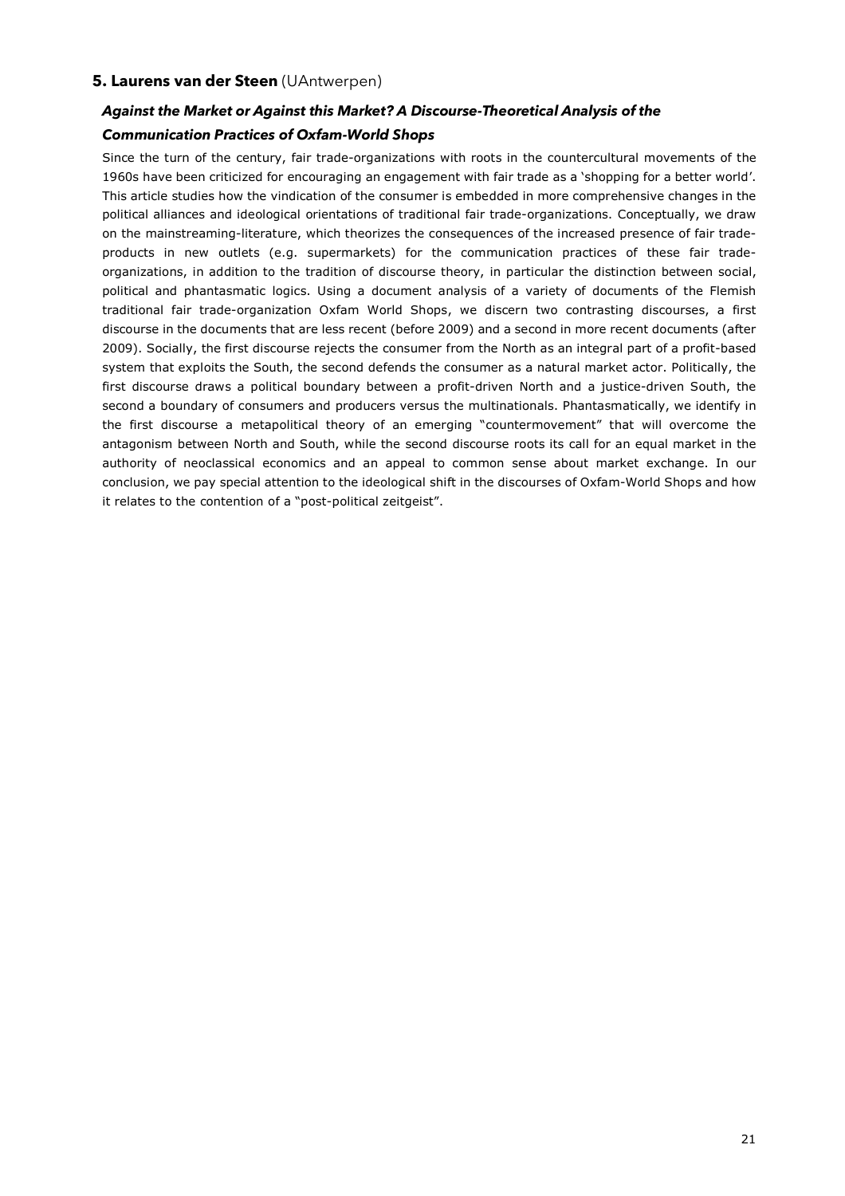# **5. Laurens van der Steen** (UAntwerpen)

# *Against the Market or Against this Market? A Discourse-Theoretical Analysis of the Communication Practices of Oxfam-World Shops*

Since the turn of the century, fair trade-organizations with roots in the countercultural movements of the 1960s have been criticized for encouraging an engagement with fair trade as a 'shopping for a better world'. This article studies how the vindication of the consumer is embedded in more comprehensive changes in the political alliances and ideological orientations of traditional fair trade-organizations. Conceptually, we draw on the mainstreaming-literature, which theorizes the consequences of the increased presence of fair tradeproducts in new outlets (e.g. supermarkets) for the communication practices of these fair tradeorganizations, in addition to the tradition of discourse theory, in particular the distinction between social, political and phantasmatic logics. Using a document analysis of a variety of documents of the Flemish traditional fair trade-organization Oxfam World Shops, we discern two contrasting discourses, a first discourse in the documents that are less recent (before 2009) and a second in more recent documents (after 2009). Socially, the first discourse rejects the consumer from the North as an integral part of a profit-based system that exploits the South, the second defends the consumer as a natural market actor. Politically, the first discourse draws a political boundary between a profit-driven North and a justice-driven South, the second a boundary of consumers and producers versus the multinationals. Phantasmatically, we identify in the first discourse a metapolitical theory of an emerging "countermovement" that will overcome the antagonism between North and South, while the second discourse roots its call for an equal market in the authority of neoclassical economics and an appeal to common sense about market exchange. In our conclusion, we pay special attention to the ideological shift in the discourses of Oxfam-World Shops and how it relates to the contention of a "post-political zeitgeist".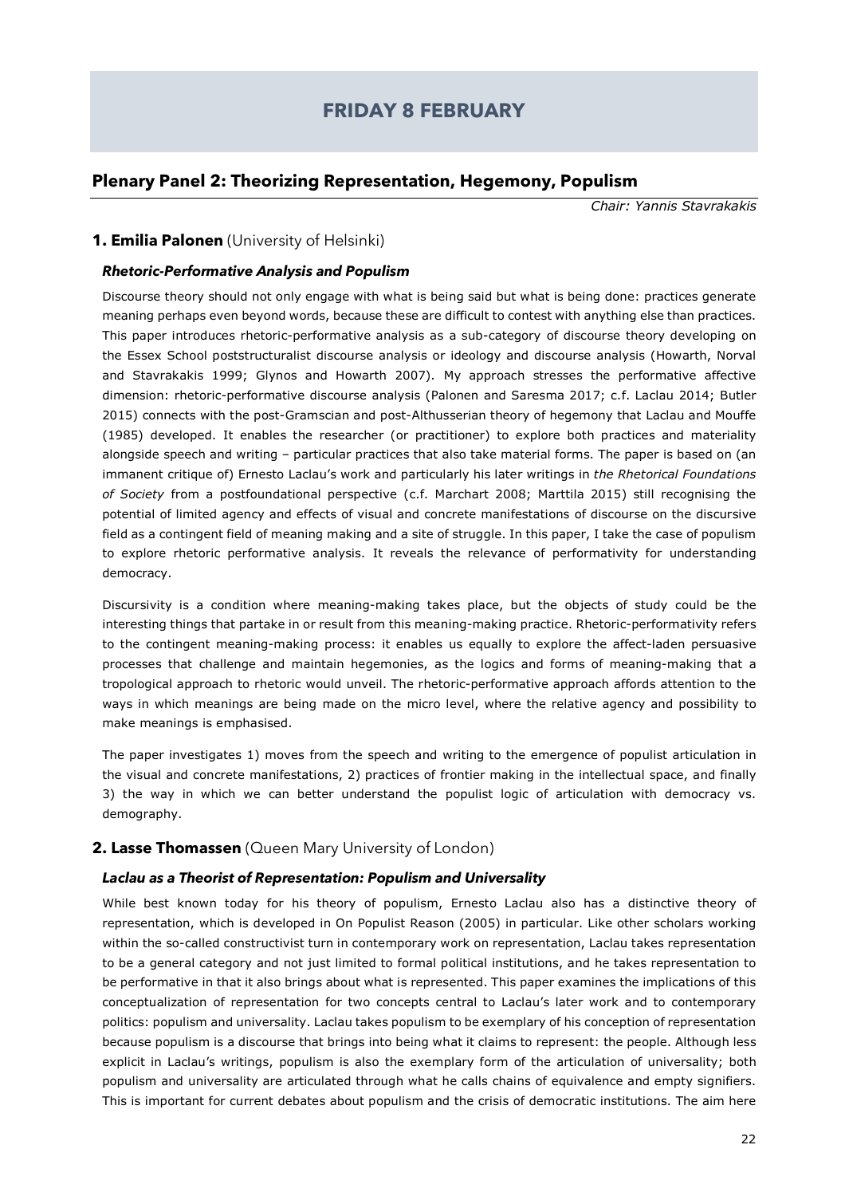# **FRIDAY 8 FEBRUARY**

# **Plenary Panel 2: Theorizing Representation, Hegemony, Populism**

*Chair: Yannis Stavrakakis*

# **1. Emilia Palonen** (University of Helsinki)

#### *Rhetoric-Performative Analysis and Populism*

Discourse theory should not only engage with what is being said but what is being done: practices generate meaning perhaps even beyond words, because these are difficult to contest with anything else than practices. This paper introduces rhetoric-performative analysis as a sub-category of discourse theory developing on the Essex School poststructuralist discourse analysis or ideology and discourse analysis (Howarth, Norval and Stavrakakis 1999; Glynos and Howarth 2007). My approach stresses the performative affective dimension: rhetoric-performative discourse analysis (Palonen and Saresma 2017; c.f. Laclau 2014; Butler 2015) connects with the post-Gramscian and post-Althusserian theory of hegemony that Laclau and Mouffe (1985) developed. It enables the researcher (or practitioner) to explore both practices and materiality alongside speech and writing – particular practices that also take material forms. The paper is based on (an immanent critique of) Ernesto Laclau's work and particularly his later writings in *the Rhetorical Foundations of Society* from a postfoundational perspective (c.f. Marchart 2008; Marttila 2015) still recognising the potential of limited agency and effects of visual and concrete manifestations of discourse on the discursive field as a contingent field of meaning making and a site of struggle. In this paper, I take the case of populism to explore rhetoric performative analysis. It reveals the relevance of performativity for understanding democracy.

Discursivity is a condition where meaning-making takes place, but the objects of study could be the interesting things that partake in or result from this meaning-making practice. Rhetoric-performativity refers to the contingent meaning-making process: it enables us equally to explore the affect-laden persuasive processes that challenge and maintain hegemonies, as the logics and forms of meaning-making that a tropological approach to rhetoric would unveil. The rhetoric-performative approach affords attention to the ways in which meanings are being made on the micro level, where the relative agency and possibility to make meanings is emphasised.

The paper investigates 1) moves from the speech and writing to the emergence of populist articulation in the visual and concrete manifestations, 2) practices of frontier making in the intellectual space, and finally 3) the way in which we can better understand the populist logic of articulation with democracy vs. demography.

# **2. Lasse Thomassen** (Queen Mary University of London)

#### *Laclau as a Theorist of Representation: Populism and Universality*

While best known today for his theory of populism, Ernesto Laclau also has a distinctive theory of representation, which is developed in On Populist Reason (2005) in particular. Like other scholars working within the so-called constructivist turn in contemporary work on representation, Laclau takes representation to be a general category and not just limited to formal political institutions, and he takes representation to be performative in that it also brings about what is represented. This paper examines the implications of this conceptualization of representation for two concepts central to Laclau's later work and to contemporary politics: populism and universality. Laclau takes populism to be exemplary of his conception of representation because populism is a discourse that brings into being what it claims to represent: the people. Although less explicit in Laclau's writings, populism is also the exemplary form of the articulation of universality; both populism and universality are articulated through what he calls chains of equivalence and empty signifiers. This is important for current debates about populism and the crisis of democratic institutions. The aim here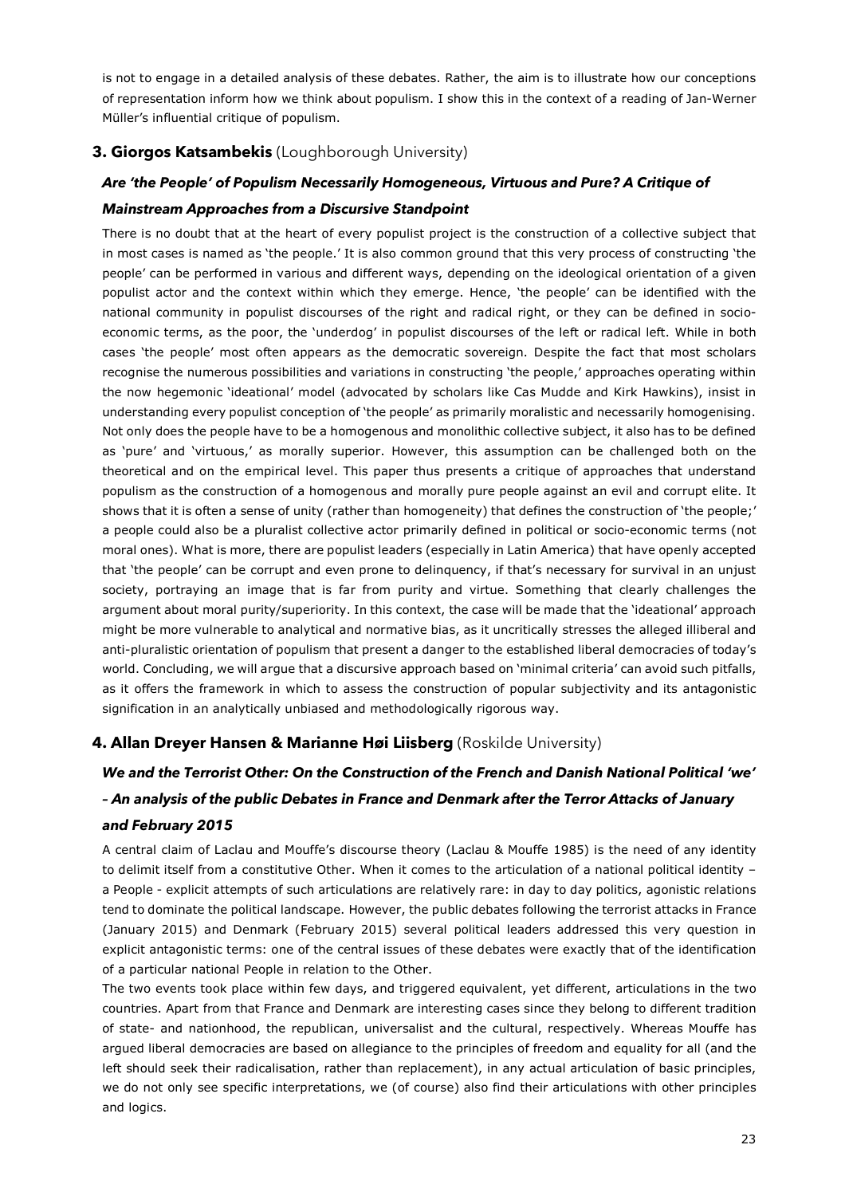is not to engage in a detailed analysis of these debates. Rather, the aim is to illustrate how our conceptions of representation inform how we think about populism. I show this in the context of a reading of Jan-Werner Müller's influential critique of populism.

# **3. Giorgos Katsambekis** (Loughborough University)

# *Are 'the People' of Populism Necessarily Homogeneous, Virtuous and Pure? A Critique of*

#### *Mainstream Approaches from a Discursive Standpoint*

There is no doubt that at the heart of every populist project is the construction of a collective subject that in most cases is named as 'the people.' It is also common ground that this very process of constructing 'the people' can be performed in various and different ways, depending on the ideological orientation of a given populist actor and the context within which they emerge. Hence, 'the people' can be identified with the national community in populist discourses of the right and radical right, or they can be defined in socioeconomic terms, as the poor, the 'underdog' in populist discourses of the left or radical left. While in both cases 'the people' most often appears as the democratic sovereign. Despite the fact that most scholars recognise the numerous possibilities and variations in constructing 'the people,' approaches operating within the now hegemonic 'ideational' model (advocated by scholars like Cas Mudde and Kirk Hawkins), insist in understanding every populist conception of 'the people' as primarily moralistic and necessarily homogenising. Not only does the people have to be a homogenous and monolithic collective subject, it also has to be defined as 'pure' and 'virtuous,' as morally superior. However, this assumption can be challenged both on the theoretical and on the empirical level. This paper thus presents a critique of approaches that understand populism as the construction of a homogenous and morally pure people against an evil and corrupt elite. It shows that it is often a sense of unity (rather than homogeneity) that defines the construction of 'the people;' a people could also be a pluralist collective actor primarily defined in political or socio-economic terms (not moral ones). What is more, there are populist leaders (especially in Latin America) that have openly accepted that 'the people' can be corrupt and even prone to delinquency, if that's necessary for survival in an unjust society, portraying an image that is far from purity and virtue. Something that clearly challenges the argument about moral purity/superiority. In this context, the case will be made that the 'ideational' approach might be more vulnerable to analytical and normative bias, as it uncritically stresses the alleged illiberal and anti-pluralistic orientation of populism that present a danger to the established liberal democracies of today's world. Concluding, we will argue that a discursive approach based on 'minimal criteria' can avoid such pitfalls, as it offers the framework in which to assess the construction of popular subjectivity and its antagonistic signification in an analytically unbiased and methodologically rigorous way.

# **4. Allan Dreyer Hansen & Marianne Høi Liisberg** (Roskilde University)

# *We and the Terrorist Other: On the Construction of the French and Danish National Political 'we' – An analysis of the public Debates in France and Denmark after the Terror Attacks of January and February 2015*

A central claim of Laclau and Mouffe's discourse theory (Laclau & Mouffe 1985) is the need of any identity to delimit itself from a constitutive Other. When it comes to the articulation of a national political identity – a People - explicit attempts of such articulations are relatively rare: in day to day politics, agonistic relations tend to dominate the political landscape. However, the public debates following the terrorist attacks in France (January 2015) and Denmark (February 2015) several political leaders addressed this very question in explicit antagonistic terms: one of the central issues of these debates were exactly that of the identification of a particular national People in relation to the Other.

The two events took place within few days, and triggered equivalent, yet different, articulations in the two countries. Apart from that France and Denmark are interesting cases since they belong to different tradition of state- and nationhood, the republican, universalist and the cultural, respectively. Whereas Mouffe has argued liberal democracies are based on allegiance to the principles of freedom and equality for all (and the left should seek their radicalisation, rather than replacement), in any actual articulation of basic principles, we do not only see specific interpretations, we (of course) also find their articulations with other principles and logics.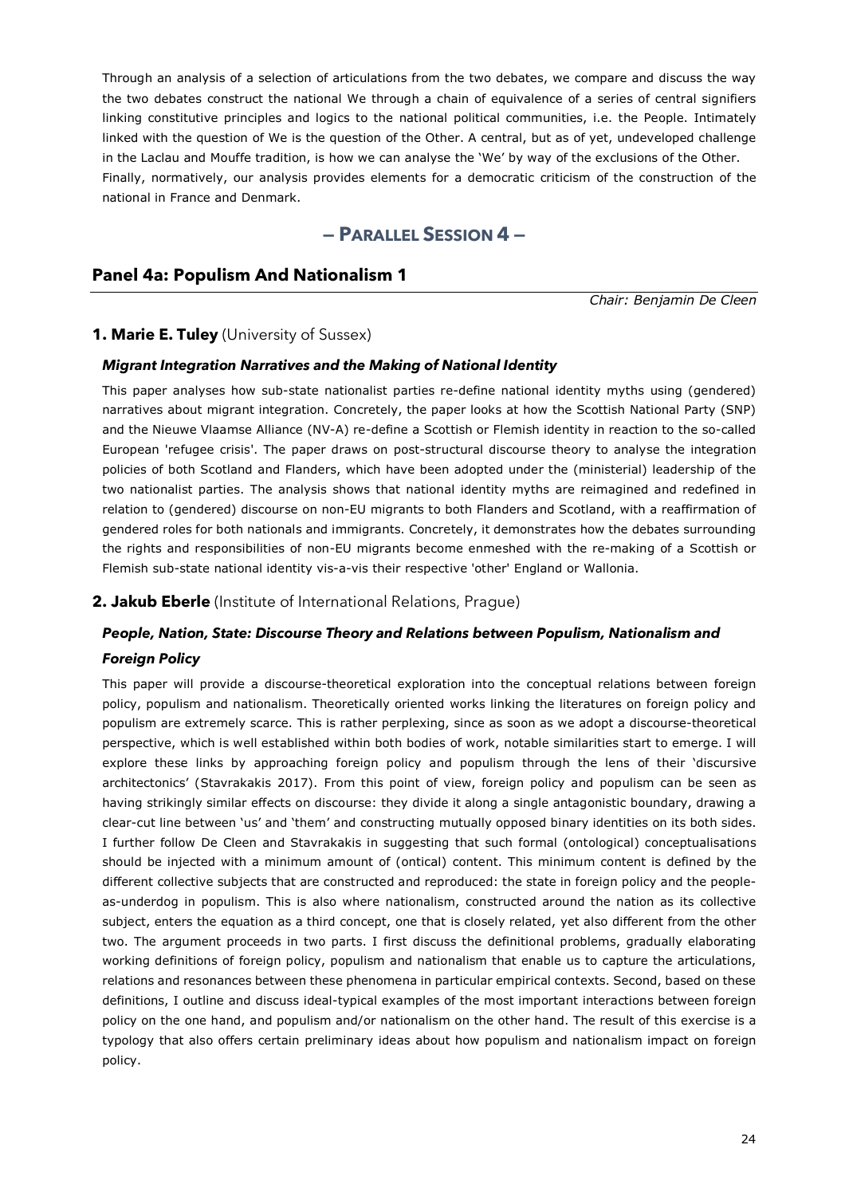Through an analysis of a selection of articulations from the two debates, we compare and discuss the way the two debates construct the national We through a chain of equivalence of a series of central signifiers linking constitutive principles and logics to the national political communities, i.e. the People. Intimately linked with the question of We is the question of the Other. A central, but as of yet, undeveloped challenge in the Laclau and Mouffe tradition, is how we can analyse the 'We' by way of the exclusions of the Other. Finally, normatively, our analysis provides elements for a democratic criticism of the construction of the national in France and Denmark.

# **— PARALLEL SESSION 4 —**

# **Panel 4a: Populism And Nationalism 1**

*Chair: Benjamin De Cleen*

# **1. Marie E. Tuley** (University of Sussex)

#### *Migrant Integration Narratives and the Making of National Identity*

This paper analyses how sub-state nationalist parties re-define national identity myths using (gendered) narratives about migrant integration. Concretely, the paper looks at how the Scottish National Party (SNP) and the Nieuwe Vlaamse Alliance (NV-A) re-define a Scottish or Flemish identity in reaction to the so-called European 'refugee crisis'. The paper draws on post-structural discourse theory to analyse the integration policies of both Scotland and Flanders, which have been adopted under the (ministerial) leadership of the two nationalist parties. The analysis shows that national identity myths are reimagined and redefined in relation to (gendered) discourse on non-EU migrants to both Flanders and Scotland, with a reaffirmation of gendered roles for both nationals and immigrants. Concretely, it demonstrates how the debates surrounding the rights and responsibilities of non-EU migrants become enmeshed with the re-making of a Scottish or Flemish sub-state national identity vis-a-vis their respective 'other' England or Wallonia.

# **2. Jakub Eberle** (Institute of International Relations, Prague)

# *People, Nation, State: Discourse Theory and Relations between Populism, Nationalism and*

# *Foreign Policy*

This paper will provide a discourse-theoretical exploration into the conceptual relations between foreign policy, populism and nationalism. Theoretically oriented works linking the literatures on foreign policy and populism are extremely scarce. This is rather perplexing, since as soon as we adopt a discourse-theoretical perspective, which is well established within both bodies of work, notable similarities start to emerge. I will explore these links by approaching foreign policy and populism through the lens of their 'discursive architectonics' (Stavrakakis 2017). From this point of view, foreign policy and populism can be seen as having strikingly similar effects on discourse: they divide it along a single antagonistic boundary, drawing a clear-cut line between 'us' and 'them' and constructing mutually opposed binary identities on its both sides. I further follow De Cleen and Stavrakakis in suggesting that such formal (ontological) conceptualisations should be injected with a minimum amount of (ontical) content. This minimum content is defined by the different collective subjects that are constructed and reproduced: the state in foreign policy and the peopleas-underdog in populism. This is also where nationalism, constructed around the nation as its collective subject, enters the equation as a third concept, one that is closely related, yet also different from the other two. The argument proceeds in two parts. I first discuss the definitional problems, gradually elaborating working definitions of foreign policy, populism and nationalism that enable us to capture the articulations, relations and resonances between these phenomena in particular empirical contexts. Second, based on these definitions, I outline and discuss ideal-typical examples of the most important interactions between foreign policy on the one hand, and populism and/or nationalism on the other hand. The result of this exercise is a typology that also offers certain preliminary ideas about how populism and nationalism impact on foreign policy.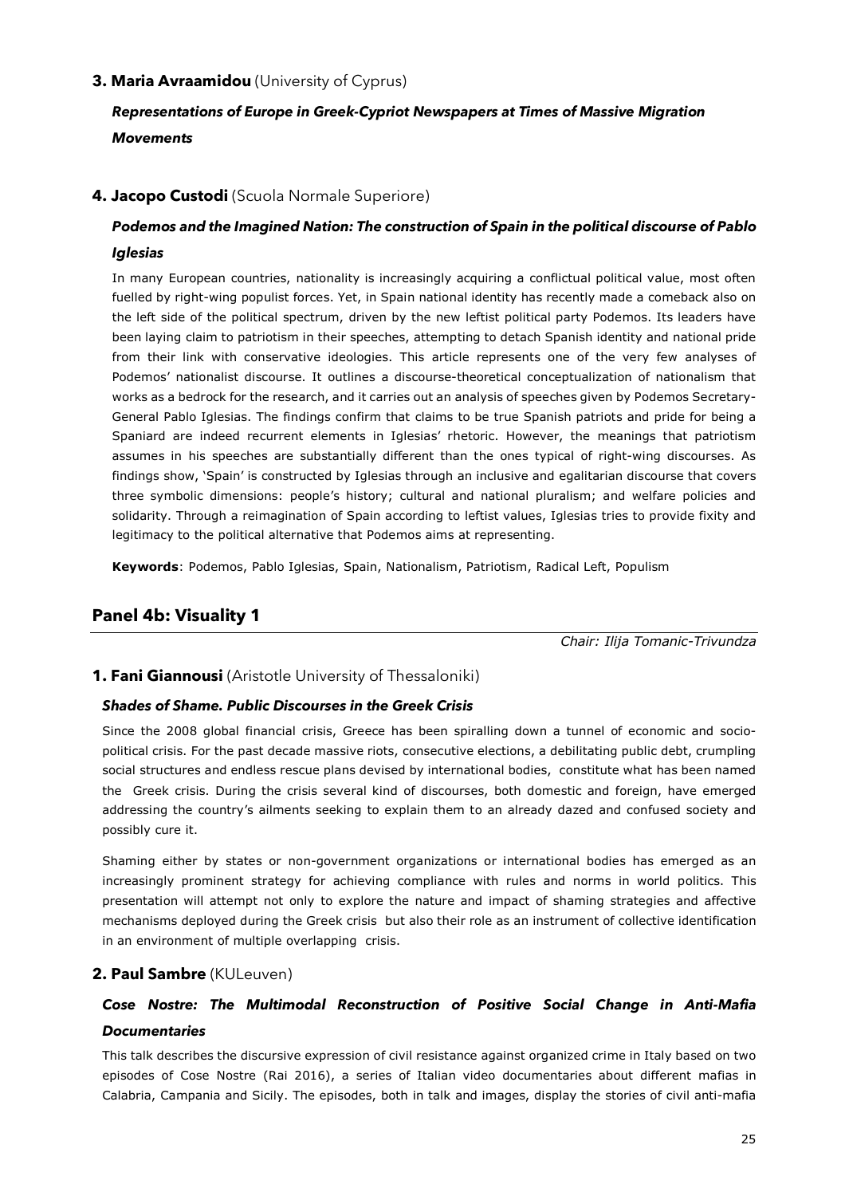# **3. Maria Avraamidou** (University of Cyprus)

# *Representations of Europe in Greek-Cypriot Newspapers at Times of Massive Migration Movements*

# **4. Jacopo Custodi** (Scuola Normale Superiore)

# *Podemos and the Imagined Nation: The construction of Spain in the political discourse of Pablo Iglesias*

In many European countries, nationality is increasingly acquiring a conflictual political value, most often fuelled by right-wing populist forces. Yet, in Spain national identity has recently made a comeback also on the left side of the political spectrum, driven by the new leftist political party Podemos. Its leaders have been laying claim to patriotism in their speeches, attempting to detach Spanish identity and national pride from their link with conservative ideologies. This article represents one of the very few analyses of Podemos' nationalist discourse. It outlines a discourse-theoretical conceptualization of nationalism that works as a bedrock for the research, and it carries out an analysis of speeches given by Podemos Secretary-General Pablo Iglesias. The findings confirm that claims to be true Spanish patriots and pride for being a Spaniard are indeed recurrent elements in Iglesias' rhetoric. However, the meanings that patriotism assumes in his speeches are substantially different than the ones typical of right-wing discourses. As findings show, 'Spain' is constructed by Iglesias through an inclusive and egalitarian discourse that covers three symbolic dimensions: people's history; cultural and national pluralism; and welfare policies and solidarity. Through a reimagination of Spain according to leftist values, Iglesias tries to provide fixity and legitimacy to the political alternative that Podemos aims at representing.

**Keywords**: Podemos, Pablo Iglesias, Spain, Nationalism, Patriotism, Radical Left, Populism

# **Panel 4b: Visuality 1**

*Chair: Ilija Tomanic-Trivundza*

# **1. Fani Giannousi** (Aristotle University of Thessaloniki)

# *Shades of Shame. Public Discourses in the Greek Crisis*

Since the 2008 global financial crisis, Greece has been spiralling down a tunnel of economic and sociopolitical crisis. For the past decade massive riots, consecutive elections, a debilitating public debt, crumpling social structures and endless rescue plans devised by international bodies, constitute what has been named the Greek crisis. During the crisis several kind of discourses, both domestic and foreign, have emerged addressing the country's ailments seeking to explain them to an already dazed and confused society and possibly cure it.

Shaming either by states or non-government organizations or international bodies has emerged as an increasingly prominent strategy for achieving compliance with rules and norms in world politics. This presentation will attempt not only to explore the nature and impact of shaming strategies and affective mechanisms deployed during the Greek crisis but also their role as an instrument of collective identification in an environment of multiple overlapping crisis.

# **2. Paul Sambre** (KULeuven)

# *Cose Nostre: The Multimodal Reconstruction of Positive Social Change in Anti-Mafia Documentaries*

This talk describes the discursive expression of civil resistance against organized crime in Italy based on two episodes of Cose Nostre (Rai 2016), a series of Italian video documentaries about different mafias in Calabria, Campania and Sicily. The episodes, both in talk and images, display the stories of civil anti-mafia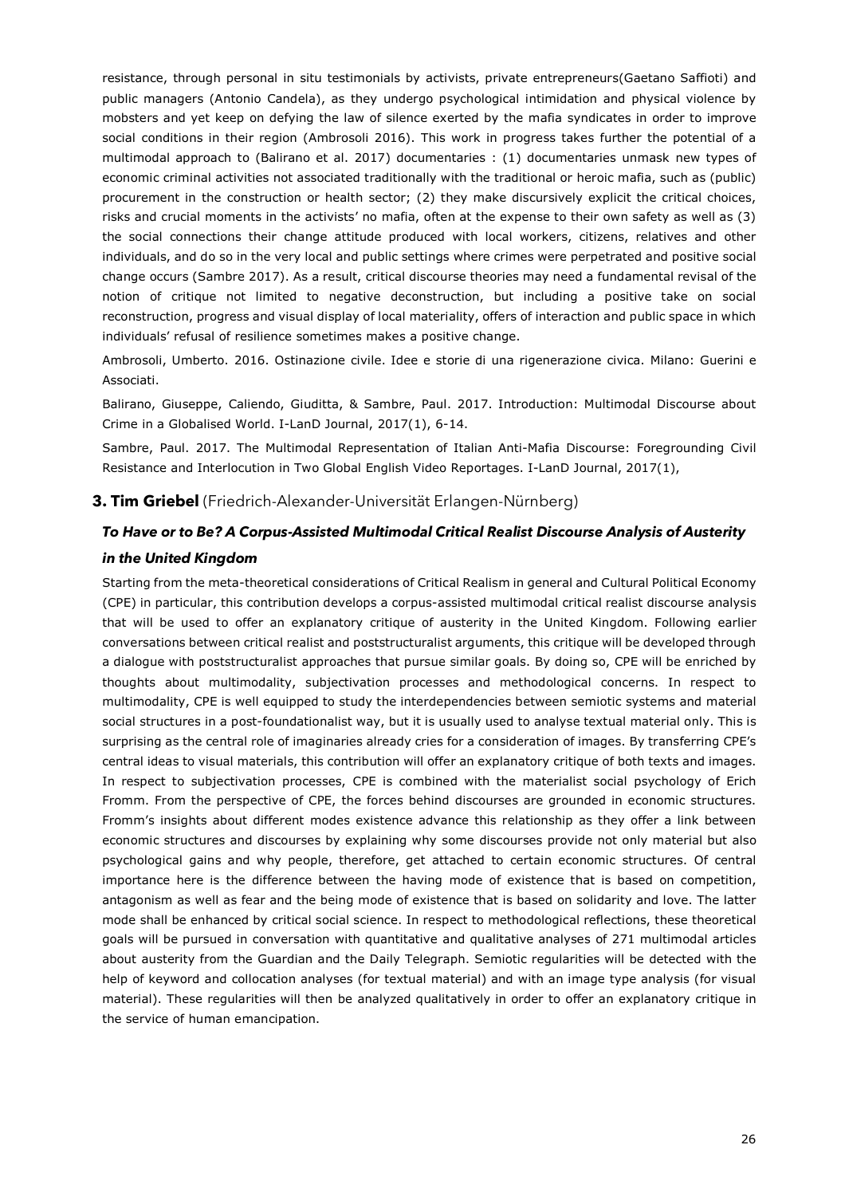resistance, through personal in situ testimonials by activists, private entrepreneurs(Gaetano Saffioti) and public managers (Antonio Candela), as they undergo psychological intimidation and physical violence by mobsters and yet keep on defying the law of silence exerted by the mafia syndicates in order to improve social conditions in their region (Ambrosoli 2016). This work in progress takes further the potential of a multimodal approach to (Balirano et al. 2017) documentaries : (1) documentaries unmask new types of economic criminal activities not associated traditionally with the traditional or heroic mafia, such as (public) procurement in the construction or health sector; (2) they make discursively explicit the critical choices, risks and crucial moments in the activists' no mafia, often at the expense to their own safety as well as (3) the social connections their change attitude produced with local workers, citizens, relatives and other individuals, and do so in the very local and public settings where crimes were perpetrated and positive social change occurs (Sambre 2017). As a result, critical discourse theories may need a fundamental revisal of the notion of critique not limited to negative deconstruction, but including a positive take on social reconstruction, progress and visual display of local materiality, offers of interaction and public space in which individuals' refusal of resilience sometimes makes a positive change.

Ambrosoli, Umberto. 2016. Ostinazione civile. Idee e storie di una rigenerazione civica. Milano: Guerini e Associati.

Balirano, Giuseppe, Caliendo, Giuditta, & Sambre, Paul. 2017. Introduction: Multimodal Discourse about Crime in a Globalised World. I-LanD Journal, 2017(1), 6-14.

Sambre, Paul. 2017. The Multimodal Representation of Italian Anti-Mafia Discourse: Foregrounding Civil Resistance and Interlocution in Two Global English Video Reportages. I-LanD Journal, 2017(1),

#### **3. Tim Griebel** (Friedrich-Alexander-Universität Erlangen-Nürnberg)

#### *To Have or to Be? A Corpus-Assisted Multimodal Critical Realist Discourse Analysis of Austerity*

#### *in the United Kingdom*

Starting from the meta-theoretical considerations of Critical Realism in general and Cultural Political Economy (CPE) in particular, this contribution develops a corpus-assisted multimodal critical realist discourse analysis that will be used to offer an explanatory critique of austerity in the United Kingdom. Following earlier conversations between critical realist and poststructuralist arguments, this critique will be developed through a dialogue with poststructuralist approaches that pursue similar goals. By doing so, CPE will be enriched by thoughts about multimodality, subjectivation processes and methodological concerns. In respect to multimodality, CPE is well equipped to study the interdependencies between semiotic systems and material social structures in a post-foundationalist way, but it is usually used to analyse textual material only. This is surprising as the central role of imaginaries already cries for a consideration of images. By transferring CPE's central ideas to visual materials, this contribution will offer an explanatory critique of both texts and images. In respect to subjectivation processes, CPE is combined with the materialist social psychology of Erich Fromm. From the perspective of CPE, the forces behind discourses are grounded in economic structures. Fromm's insights about different modes existence advance this relationship as they offer a link between economic structures and discourses by explaining why some discourses provide not only material but also psychological gains and why people, therefore, get attached to certain economic structures. Of central importance here is the difference between the having mode of existence that is based on competition, antagonism as well as fear and the being mode of existence that is based on solidarity and love. The latter mode shall be enhanced by critical social science. In respect to methodological reflections, these theoretical goals will be pursued in conversation with quantitative and qualitative analyses of 271 multimodal articles about austerity from the Guardian and the Daily Telegraph. Semiotic regularities will be detected with the help of keyword and collocation analyses (for textual material) and with an image type analysis (for visual material). These regularities will then be analyzed qualitatively in order to offer an explanatory critique in the service of human emancipation.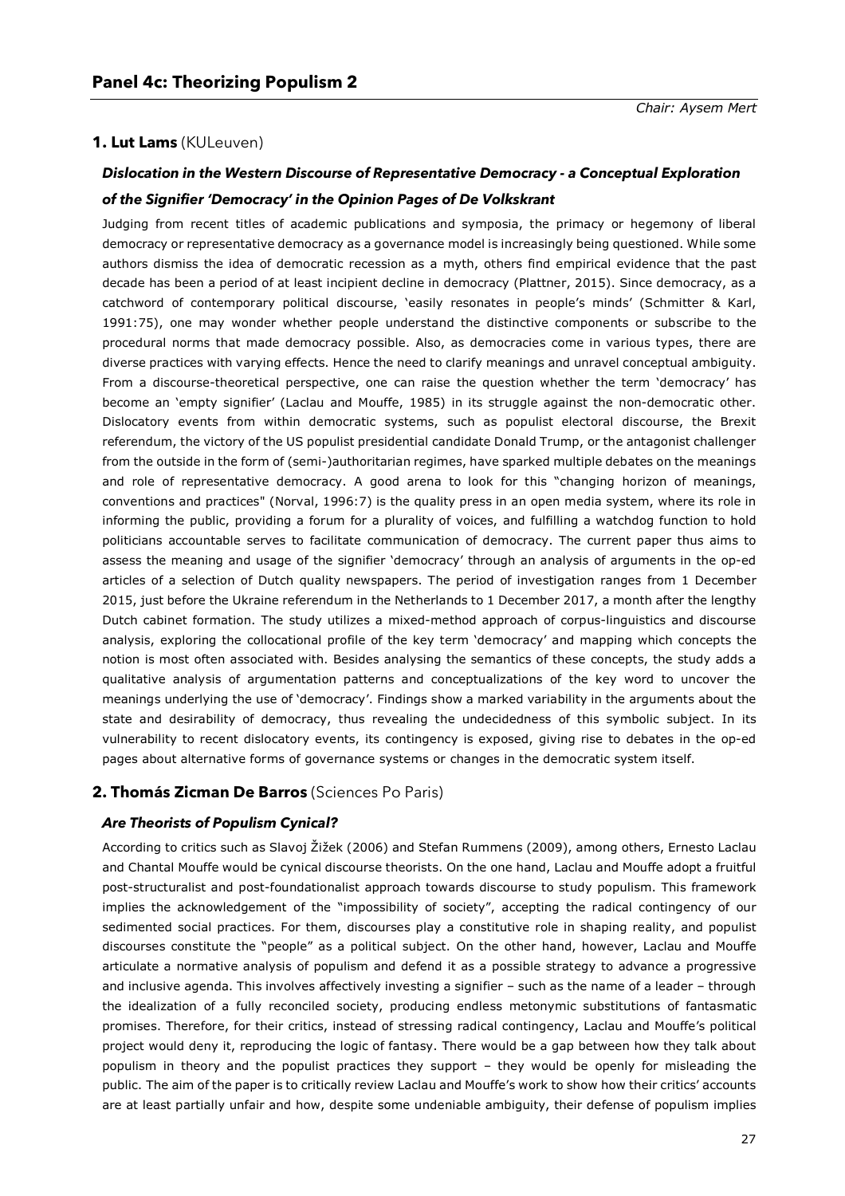#### **1. Lut Lams** (KULeuven)

# *Dislocation in the Western Discourse of Representative Democracy - a Conceptual Exploration of the Signifier 'Democracy' in the Opinion Pages of De Volkskrant*

Judging from recent titles of academic publications and symposia, the primacy or hegemony of liberal democracy or representative democracy as a governance model is increasingly being questioned. While some authors dismiss the idea of democratic recession as a myth, others find empirical evidence that the past decade has been a period of at least incipient decline in democracy (Plattner, 2015). Since democracy, as a catchword of contemporary political discourse, 'easily resonates in people's minds' (Schmitter & Karl, 1991:75), one may wonder whether people understand the distinctive components or subscribe to the procedural norms that made democracy possible. Also, as democracies come in various types, there are diverse practices with varying effects. Hence the need to clarify meanings and unravel conceptual ambiguity. From a discourse-theoretical perspective, one can raise the question whether the term 'democracy' has become an 'empty signifier' (Laclau and Mouffe, 1985) in its struggle against the non-democratic other. Dislocatory events from within democratic systems, such as populist electoral discourse, the Brexit referendum, the victory of the US populist presidential candidate Donald Trump, or the antagonist challenger from the outside in the form of (semi-)authoritarian regimes, have sparked multiple debates on the meanings and role of representative democracy. A good arena to look for this "changing horizon of meanings, conventions and practices" (Norval, 1996:7) is the quality press in an open media system, where its role in informing the public, providing a forum for a plurality of voices, and fulfilling a watchdog function to hold politicians accountable serves to facilitate communication of democracy. The current paper thus aims to assess the meaning and usage of the signifier 'democracy' through an analysis of arguments in the op-ed articles of a selection of Dutch quality newspapers. The period of investigation ranges from 1 December 2015, just before the Ukraine referendum in the Netherlands to 1 December 2017, a month after the lengthy Dutch cabinet formation. The study utilizes a mixed-method approach of corpus-linguistics and discourse analysis, exploring the collocational profile of the key term 'democracy' and mapping which concepts the notion is most often associated with. Besides analysing the semantics of these concepts, the study adds a qualitative analysis of argumentation patterns and conceptualizations of the key word to uncover the meanings underlying the use of 'democracy'. Findings show a marked variability in the arguments about the state and desirability of democracy, thus revealing the undecidedness of this symbolic subject. In its vulnerability to recent dislocatory events, its contingency is exposed, giving rise to debates in the op-ed pages about alternative forms of governance systems or changes in the democratic system itself.

# **2. Thomás Zicman De Barros** (Sciences Po Paris)

#### *Are Theorists of Populism Cynical?*

According to critics such as Slavoj Žižek (2006) and Stefan Rummens (2009), among others, Ernesto Laclau and Chantal Mouffe would be cynical discourse theorists. On the one hand, Laclau and Mouffe adopt a fruitful post-structuralist and post-foundationalist approach towards discourse to study populism. This framework implies the acknowledgement of the "impossibility of society", accepting the radical contingency of our sedimented social practices. For them, discourses play a constitutive role in shaping reality, and populist discourses constitute the "people" as a political subject. On the other hand, however, Laclau and Mouffe articulate a normative analysis of populism and defend it as a possible strategy to advance a progressive and inclusive agenda. This involves affectively investing a signifier – such as the name of a leader – through the idealization of a fully reconciled society, producing endless metonymic substitutions of fantasmatic promises. Therefore, for their critics, instead of stressing radical contingency, Laclau and Mouffe's political project would deny it, reproducing the logic of fantasy. There would be a gap between how they talk about populism in theory and the populist practices they support – they would be openly for misleading the public. The aim of the paper is to critically review Laclau and Mouffe's work to show how their critics' accounts are at least partially unfair and how, despite some undeniable ambiguity, their defense of populism implies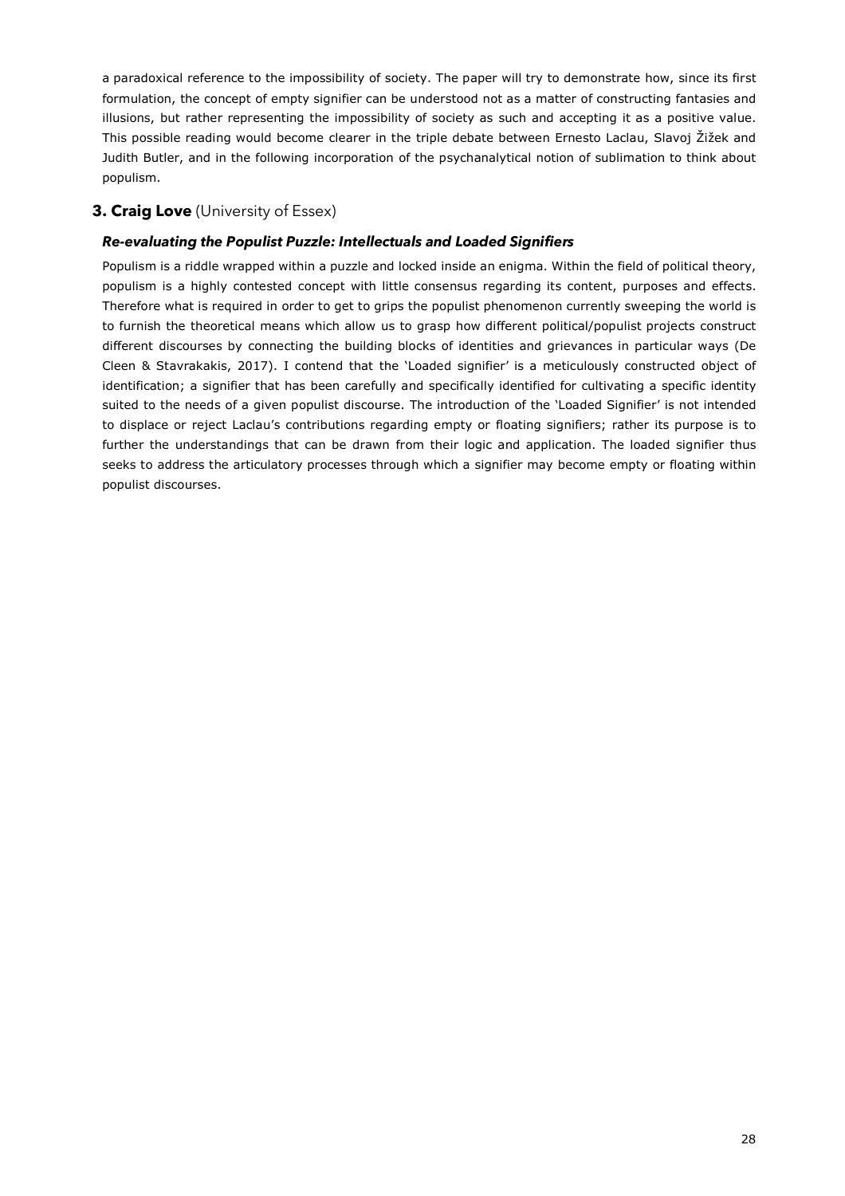a paradoxical reference to the impossibility of society. The paper will try to demonstrate how, since its first formulation, the concept of empty signifier can be understood not as a matter of constructing fantasies and illusions, but rather representing the impossibility of society as such and accepting it as a positive value. This possible reading would become clearer in the triple debate between Ernesto Laclau, Slavoj Žižek and Judith Butler, and in the following incorporation of the psychanalytical notion of sublimation to think about populism.

# **3. Craig Love** (University of Essex)

# *Re-evaluating the Populist Puzzle: Intellectuals and Loaded Signifiers*

Populism is a riddle wrapped within a puzzle and locked inside an enigma. Within the field of political theory, populism is a highly contested concept with little consensus regarding its content, purposes and effects. Therefore what is required in order to get to grips the populist phenomenon currently sweeping the world is to furnish the theoretical means which allow us to grasp how different political/populist projects construct different discourses by connecting the building blocks of identities and grievances in particular ways (De Cleen & Stavrakakis, 2017). I contend that the 'Loaded signifier' is a meticulously constructed object of identification; a signifier that has been carefully and specifically identified for cultivating a specific identity suited to the needs of a given populist discourse. The introduction of the 'Loaded Signifier' is not intended to displace or reject Laclau's contributions regarding empty or floating signifiers; rather its purpose is to further the understandings that can be drawn from their logic and application. The loaded signifier thus seeks to address the articulatory processes through which a signifier may become empty or floating within populist discourses.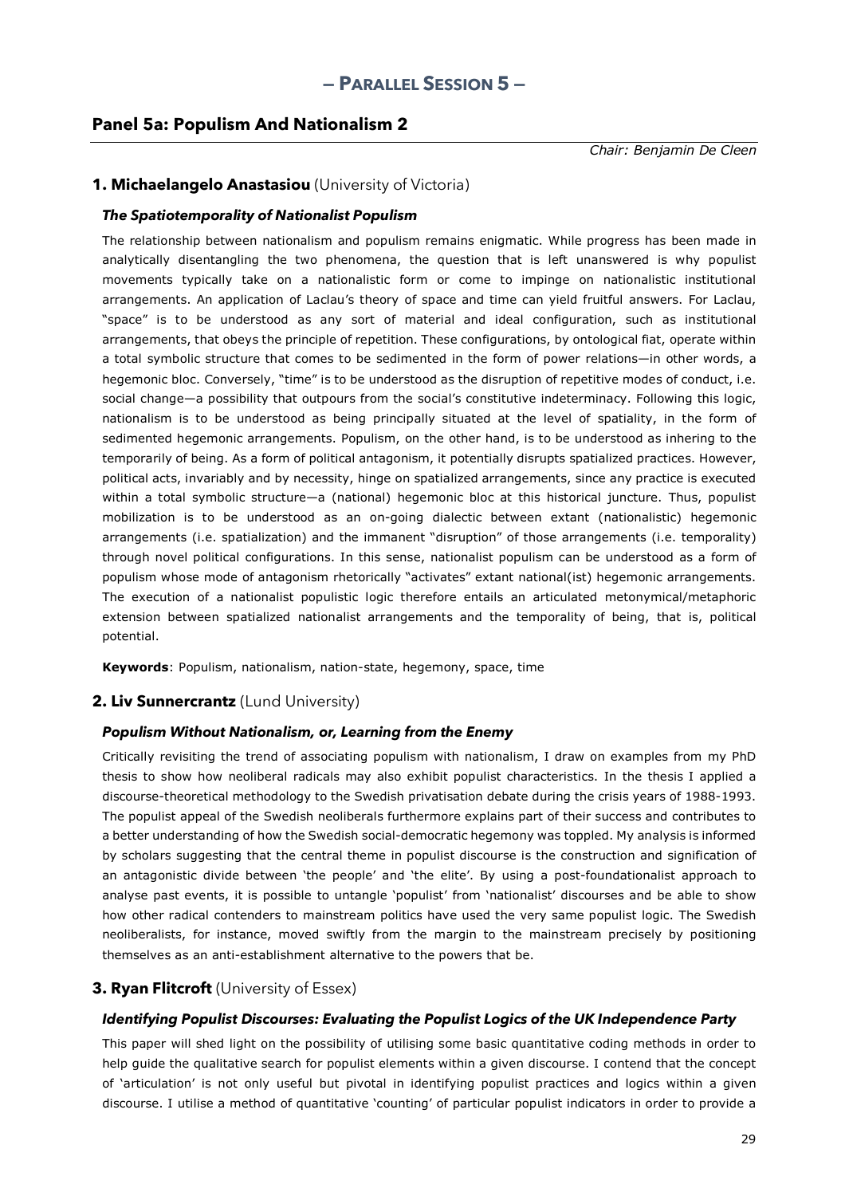# **Panel 5a: Populism And Nationalism 2**

*Chair: Benjamin De Cleen*

# **1. Michaelangelo Anastasiou** (University of Victoria)

#### *The Spatiotemporality of Nationalist Populism*

The relationship between nationalism and populism remains enigmatic. While progress has been made in analytically disentangling the two phenomena, the question that is left unanswered is why populist movements typically take on a nationalistic form or come to impinge on nationalistic institutional arrangements. An application of Laclau's theory of space and time can yield fruitful answers. For Laclau, "space" is to be understood as any sort of material and ideal configuration, such as institutional arrangements, that obeys the principle of repetition. These configurations, by ontological fiat, operate within a total symbolic structure that comes to be sedimented in the form of power relations—in other words, a hegemonic bloc. Conversely, "time" is to be understood as the disruption of repetitive modes of conduct, i.e. social change—a possibility that outpours from the social's constitutive indeterminacy. Following this logic, nationalism is to be understood as being principally situated at the level of spatiality, in the form of sedimented hegemonic arrangements. Populism, on the other hand, is to be understood as inhering to the temporarily of being. As a form of political antagonism, it potentially disrupts spatialized practices. However, political acts, invariably and by necessity, hinge on spatialized arrangements, since any practice is executed within a total symbolic structure—a (national) hegemonic bloc at this historical juncture. Thus, populist mobilization is to be understood as an on-going dialectic between extant (nationalistic) hegemonic arrangements (i.e. spatialization) and the immanent "disruption" of those arrangements (i.e. temporality) through novel political configurations. In this sense, nationalist populism can be understood as a form of populism whose mode of antagonism rhetorically "activates" extant national(ist) hegemonic arrangements. The execution of a nationalist populistic logic therefore entails an articulated metonymical/metaphoric extension between spatialized nationalist arrangements and the temporality of being, that is, political potential.

**Keywords**: Populism, nationalism, nation-state, hegemony, space, time

# **2. Liv Sunnercrantz** (Lund University)

#### *Populism Without Nationalism, or, Learning from the Enemy*

Critically revisiting the trend of associating populism with nationalism, I draw on examples from my PhD thesis to show how neoliberal radicals may also exhibit populist characteristics. In the thesis I applied a discourse-theoretical methodology to the Swedish privatisation debate during the crisis years of 1988-1993. The populist appeal of the Swedish neoliberals furthermore explains part of their success and contributes to a better understanding of how the Swedish social-democratic hegemony was toppled. My analysis is informed by scholars suggesting that the central theme in populist discourse is the construction and signification of an antagonistic divide between 'the people' and 'the elite'. By using a post-foundationalist approach to analyse past events, it is possible to untangle 'populist' from 'nationalist' discourses and be able to show how other radical contenders to mainstream politics have used the very same populist logic. The Swedish neoliberalists, for instance, moved swiftly from the margin to the mainstream precisely by positioning themselves as an anti-establishment alternative to the powers that be.

# **3. Ryan Flitcroft** (University of Essex)

#### *Identifying Populist Discourses: Evaluating the Populist Logics of the UK Independence Party*

This paper will shed light on the possibility of utilising some basic quantitative coding methods in order to help guide the qualitative search for populist elements within a given discourse. I contend that the concept of 'articulation' is not only useful but pivotal in identifying populist practices and logics within a given discourse. I utilise a method of quantitative 'counting' of particular populist indicators in order to provide a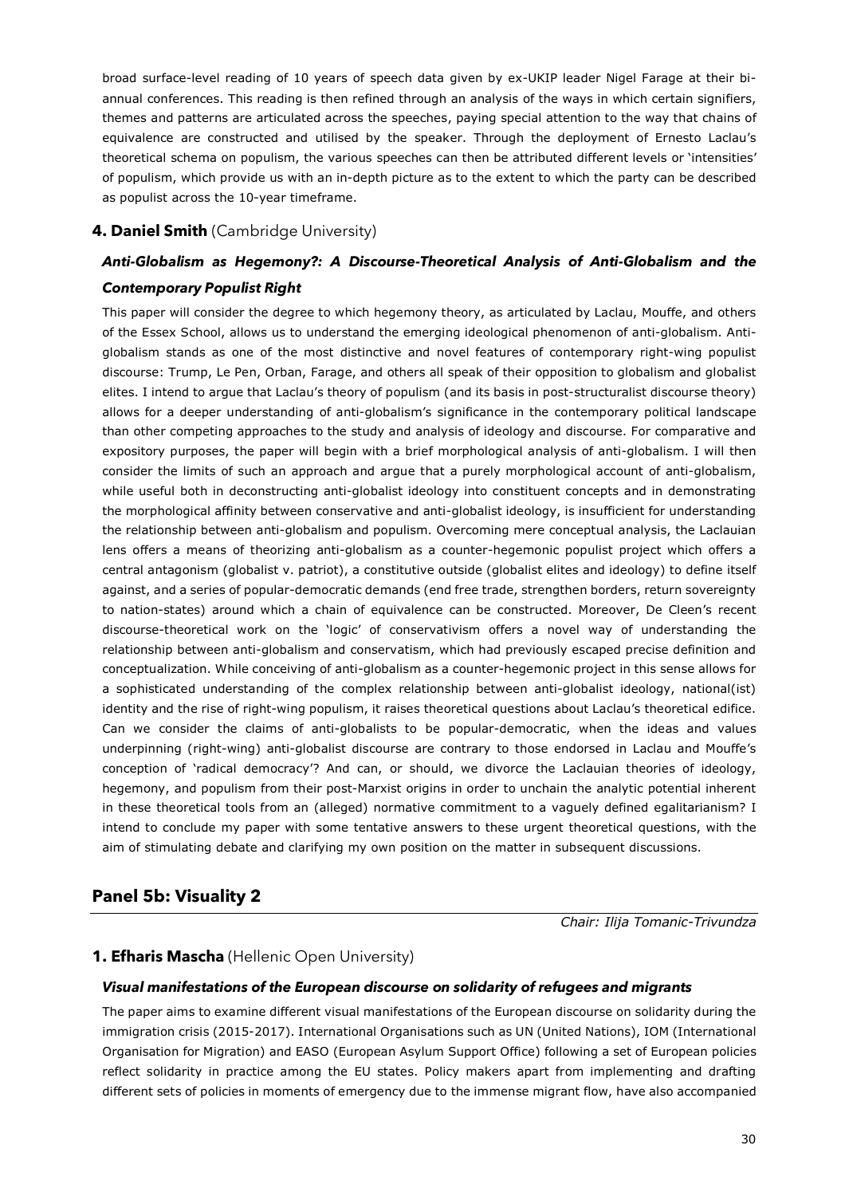broad surface-level reading of 10 years of speech data given by ex-UKIP leader Nigel Farage at their biannual conferences. This reading is then refined through an analysis of the ways in which certain signifiers, themes and patterns are articulated across the speeches, paying special attention to the way that chains of equivalence are constructed and utilised by the speaker. Through the deployment of Ernesto Laclau's theoretical schema on populism, the various speeches can then be attributed different levels or 'intensities' of populism, which provide us with an in-depth picture as to the extent to which the party can be described as populist across the 10-year timeframe.

# **4. Daniel Smith** (Cambridge University)

# *Anti-Globalism as Hegemony?: A Discourse-Theoretical Analysis of Anti-Globalism and the Contemporary Populist Right*

This paper will consider the degree to which hegemony theory, as articulated by Laclau, Mouffe, and others of the Essex School, allows us to understand the emerging ideological phenomenon of anti-globalism. Antiglobalism stands as one of the most distinctive and novel features of contemporary right-wing populist discourse: Trump, Le Pen, Orban, Farage, and others all speak of their opposition to globalism and globalist elites. I intend to argue that Laclau's theory of populism (and its basis in post-structuralist discourse theory) allows for a deeper understanding of anti-globalism's significance in the contemporary political landscape than other competing approaches to the study and analysis of ideology and discourse. For comparative and expository purposes, the paper will begin with a brief morphological analysis of anti-globalism. I will then consider the limits of such an approach and argue that a purely morphological account of anti-globalism, while useful both in deconstructing anti-globalist ideology into constituent concepts and in demonstrating the morphological affinity between conservative and anti-globalist ideology, is insufficient for understanding the relationship between anti-globalism and populism. Overcoming mere conceptual analysis, the Laclauian lens offers a means of theorizing anti-globalism as a counter-hegemonic populist project which offers a central antagonism (globalist v. patriot), a constitutive outside (globalist elites and ideology) to define itself against, and a series of popular-democratic demands (end free trade, strengthen borders, return sovereignty to nation-states) around which a chain of equivalence can be constructed. Moreover, De Cleen's recent discourse-theoretical work on the 'logic' of conservativism offers a novel way of understanding the relationship between anti-globalism and conservatism, which had previously escaped precise definition and conceptualization. While conceiving of anti-globalism as a counter-hegemonic project in this sense allows for a sophisticated understanding of the complex relationship between anti-globalist ideology, national(ist) identity and the rise of right-wing populism, it raises theoretical questions about Laclau's theoretical edifice. Can we consider the claims of anti-globalists to be popular-democratic, when the ideas and values underpinning (right-wing) anti-globalist discourse are contrary to those endorsed in Laclau and Mouffe's conception of 'radical democracy'? And can, or should, we divorce the Laclauian theories of ideology, hegemony, and populism from their post-Marxist origins in order to unchain the analytic potential inherent in these theoretical tools from an (alleged) normative commitment to a vaguely defined egalitarianism? I intend to conclude my paper with some tentative answers to these urgent theoretical questions, with the aim of stimulating debate and clarifying my own position on the matter in subsequent discussions.

# **Panel 5b: Visuality 2**

*Chair: Ilija Tomanic-Trivundza*

# **1. Efharis Mascha** (Hellenic Open University)

#### *Visual manifestations of the European discourse on solidarity of refugees and migrants*

The paper aims to examine different visual manifestations of the European discourse on solidarity during the immigration crisis (2015-2017). International Organisations such as UN (United Nations), IOM (International Organisation for Migration) and EASO (European Asylum Support Office) following a set of European policies reflect solidarity in practice among the EU states. Policy makers apart from implementing and drafting different sets of policies in moments of emergency due to the immense migrant flow, have also accompanied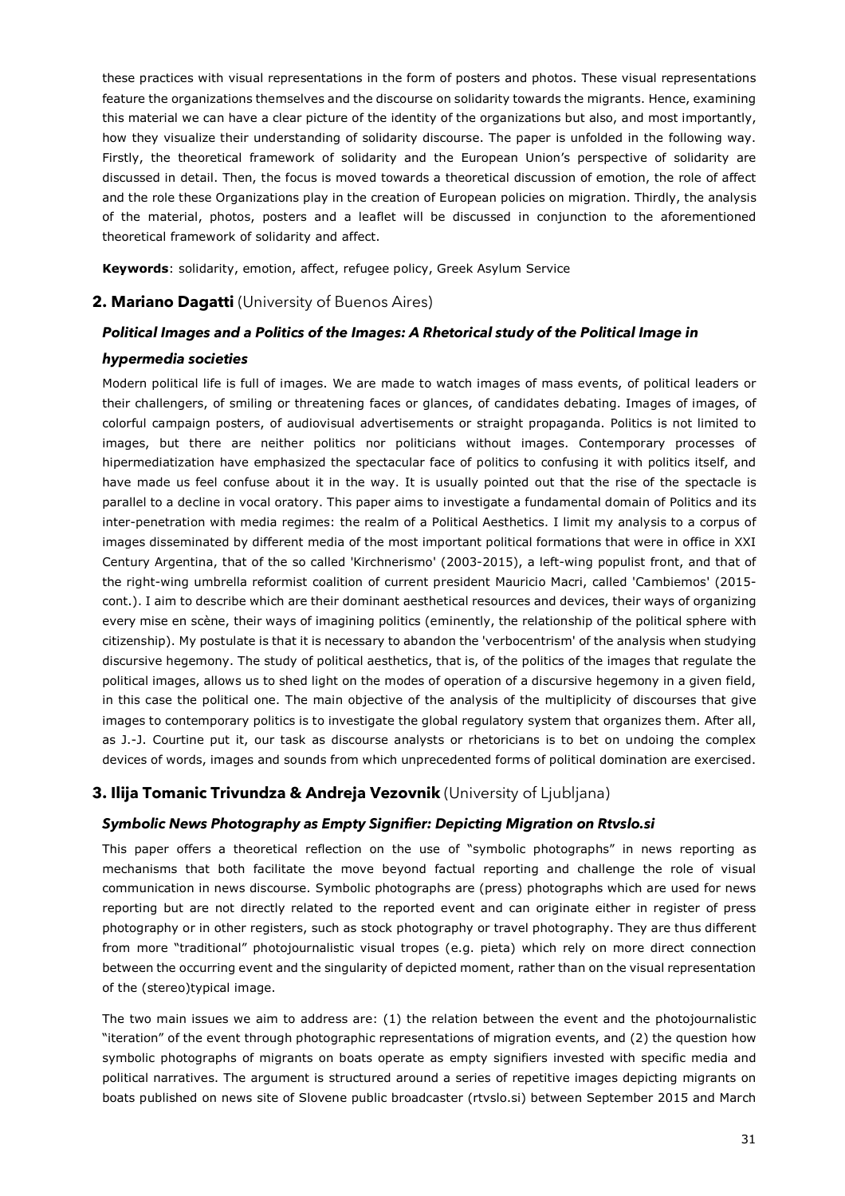these practices with visual representations in the form of posters and photos. These visual representations feature the organizations themselves and the discourse on solidarity towards the migrants. Hence, examining this material we can have a clear picture of the identity of the organizations but also, and most importantly, how they visualize their understanding of solidarity discourse. The paper is unfolded in the following way. Firstly, the theoretical framework of solidarity and the European Union's perspective of solidarity are discussed in detail. Then, the focus is moved towards a theoretical discussion of emotion, the role of affect and the role these Organizations play in the creation of European policies on migration. Thirdly, the analysis of the material, photos, posters and a leaflet will be discussed in conjunction to the aforementioned theoretical framework of solidarity and affect.

**Keywords**: solidarity, emotion, affect, refugee policy, Greek Asylum Service

#### **2. Mariano Dagatti** (University of Buenos Aires)

#### *Political Images and a Politics of the Images: A Rhetorical study of the Political Image in*

#### *hypermedia societies*

Modern political life is full of images. We are made to watch images of mass events, of political leaders or their challengers, of smiling or threatening faces or glances, of candidates debating. Images of images, of colorful campaign posters, of audiovisual advertisements or straight propaganda. Politics is not limited to images, but there are neither politics nor politicians without images. Contemporary processes of hipermediatization have emphasized the spectacular face of politics to confusing it with politics itself, and have made us feel confuse about it in the way. It is usually pointed out that the rise of the spectacle is parallel to a decline in vocal oratory. This paper aims to investigate a fundamental domain of Politics and its inter-penetration with media regimes: the realm of a Political Aesthetics. I limit my analysis to a corpus of images disseminated by different media of the most important political formations that were in office in XXI Century Argentina, that of the so called 'Kirchnerismo' (2003-2015), a left-wing populist front, and that of the right-wing umbrella reformist coalition of current president Mauricio Macri, called 'Cambiemos' (2015 cont.). I aim to describe which are their dominant aesthetical resources and devices, their ways of organizing every mise en scène, their ways of imagining politics (eminently, the relationship of the political sphere with citizenship). My postulate is that it is necessary to abandon the 'verbocentrism' of the analysis when studying discursive hegemony. The study of political aesthetics, that is, of the politics of the images that regulate the political images, allows us to shed light on the modes of operation of a discursive hegemony in a given field, in this case the political one. The main objective of the analysis of the multiplicity of discourses that give images to contemporary politics is to investigate the global regulatory system that organizes them. After all, as J.-J. Courtine put it, our task as discourse analysts or rhetoricians is to bet on undoing the complex devices of words, images and sounds from which unprecedented forms of political domination are exercised.

#### **3. Ilija Tomanic Trivundza & Andreja Vezovnik** (University of Ljubljana)

#### *Symbolic News Photography as Empty Signifier: Depicting Migration on Rtvslo.si*

This paper offers a theoretical reflection on the use of "symbolic photographs" in news reporting as mechanisms that both facilitate the move beyond factual reporting and challenge the role of visual communication in news discourse. Symbolic photographs are (press) photographs which are used for news reporting but are not directly related to the reported event and can originate either in register of press photography or in other registers, such as stock photography or travel photography. They are thus different from more "traditional" photojournalistic visual tropes (e.g. pieta) which rely on more direct connection between the occurring event and the singularity of depicted moment, rather than on the visual representation of the (stereo)typical image.

The two main issues we aim to address are: (1) the relation between the event and the photojournalistic "iteration" of the event through photographic representations of migration events, and (2) the question how symbolic photographs of migrants on boats operate as empty signifiers invested with specific media and political narratives. The argument is structured around a series of repetitive images depicting migrants on boats published on news site of Slovene public broadcaster (rtvslo.si) between September 2015 and March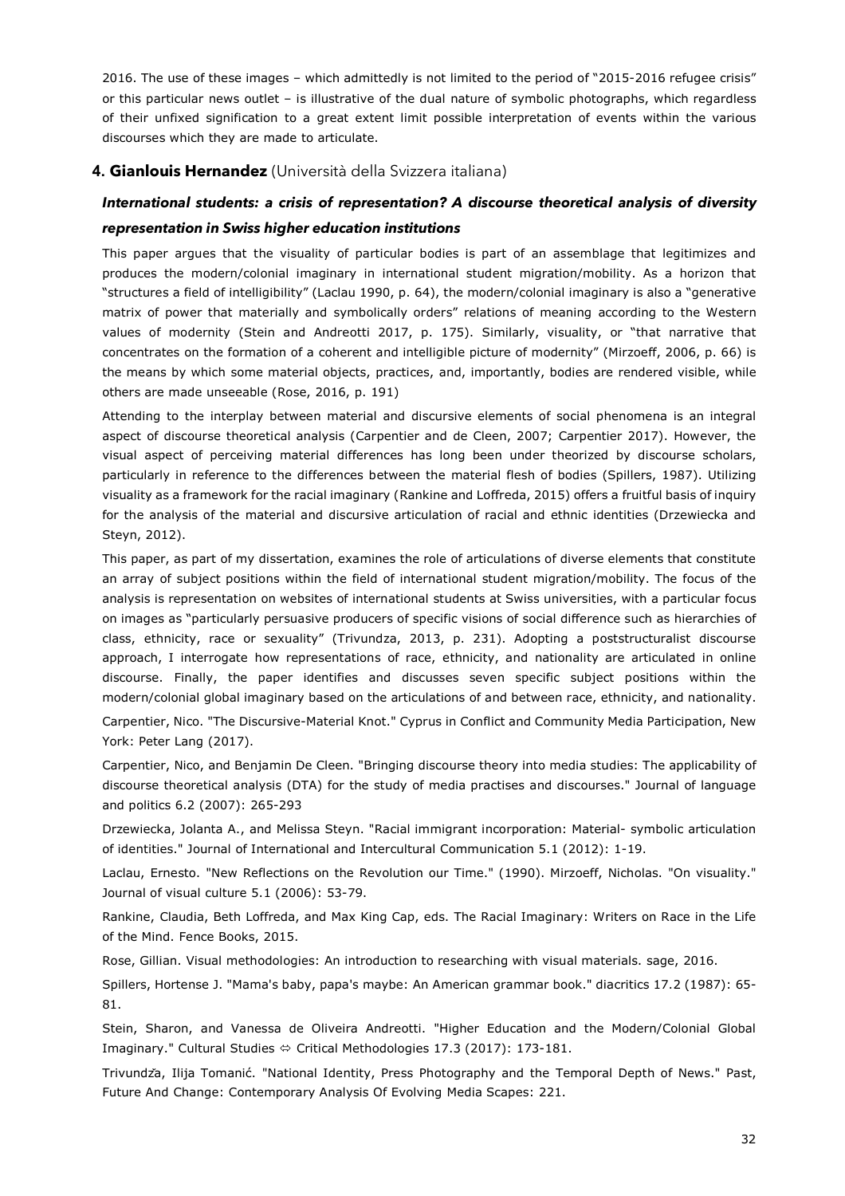2016. The use of these images – which admittedly is not limited to the period of "2015-2016 refugee crisis" or this particular news outlet – is illustrative of the dual nature of symbolic photographs, which regardless of their unfixed signification to a great extent limit possible interpretation of events within the various discourses which they are made to articulate.

# **4. Gianlouis Hernandez** (Università della Svizzera italiana)

# *International students: a crisis of representation? A discourse theoretical analysis of diversity representation in Swiss higher education institutions*

This paper argues that the visuality of particular bodies is part of an assemblage that legitimizes and produces the modern/colonial imaginary in international student migration/mobility. As a horizon that "structures a field of intelligibility" (Laclau 1990, p. 64), the modern/colonial imaginary is also a "generative matrix of power that materially and symbolically orders" relations of meaning according to the Western values of modernity (Stein and Andreotti 2017, p. 175). Similarly, visuality, or "that narrative that concentrates on the formation of a coherent and intelligible picture of modernity" (Mirzoeff, 2006, p. 66) is the means by which some material objects, practices, and, importantly, bodies are rendered visible, while others are made unseeable (Rose, 2016, p. 191)

Attending to the interplay between material and discursive elements of social phenomena is an integral aspect of discourse theoretical analysis (Carpentier and de Cleen, 2007; Carpentier 2017). However, the visual aspect of perceiving material differences has long been under theorized by discourse scholars, particularly in reference to the differences between the material flesh of bodies (Spillers, 1987). Utilizing visuality as a framework for the racial imaginary (Rankine and Loffreda, 2015) offers a fruitful basis of inquiry for the analysis of the material and discursive articulation of racial and ethnic identities (Drzewiecka and Steyn, 2012).

This paper, as part of my dissertation, examines the role of articulations of diverse elements that constitute an array of subject positions within the field of international student migration/mobility. The focus of the analysis is representation on websites of international students at Swiss universities, with a particular focus on images as "particularly persuasive producers of specific visions of social difference such as hierarchies of class, ethnicity, race or sexuality" (Trivundza, 2013, p. 231). Adopting a poststructuralist discourse approach, I interrogate how representations of race, ethnicity, and nationality are articulated in online discourse. Finally, the paper identifies and discusses seven specific subject positions within the modern/colonial global imaginary based on the articulations of and between race, ethnicity, and nationality.

Carpentier, Nico. "The Discursive-Material Knot." Cyprus in Conflict and Community Media Participation, New York: Peter Lang (2017).

Carpentier, Nico, and Benjamin De Cleen. "Bringing discourse theory into media studies: The applicability of discourse theoretical analysis (DTA) for the study of media practises and discourses." Journal of language and politics 6.2 (2007): 265-293

Drzewiecka, Jolanta A., and Melissa Steyn. "Racial immigrant incorporation: Material- symbolic articulation of identities." Journal of International and Intercultural Communication 5.1 (2012): 1-19.

Laclau, Ernesto. "New Reflections on the Revolution our Time." (1990). Mirzoeff, Nicholas. "On visuality." Journal of visual culture 5.1 (2006): 53-79.

Rankine, Claudia, Beth Loffreda, and Max King Cap, eds. The Racial Imaginary: Writers on Race in the Life of the Mind. Fence Books, 2015.

Rose, Gillian. Visual methodologies: An introduction to researching with visual materials. sage, 2016.

Spillers, Hortense J. "Mama's baby, papa's maybe: An American grammar book." diacritics 17.2 (1987): 65- 81.

Stein, Sharon, and Vanessa de Oliveira Andreotti. "Higher Education and the Modern/Colonial Global Imaginary." Cultural Studies  $\Leftrightarrow$  Critical Methodologies 17.3 (2017): 173-181.

Trivundža, Ilija Tomanić. "National Identity, Press Photography and the Temporal Depth of News." Past, Future And Change: Contemporary Analysis Of Evolving Media Scapes: 221.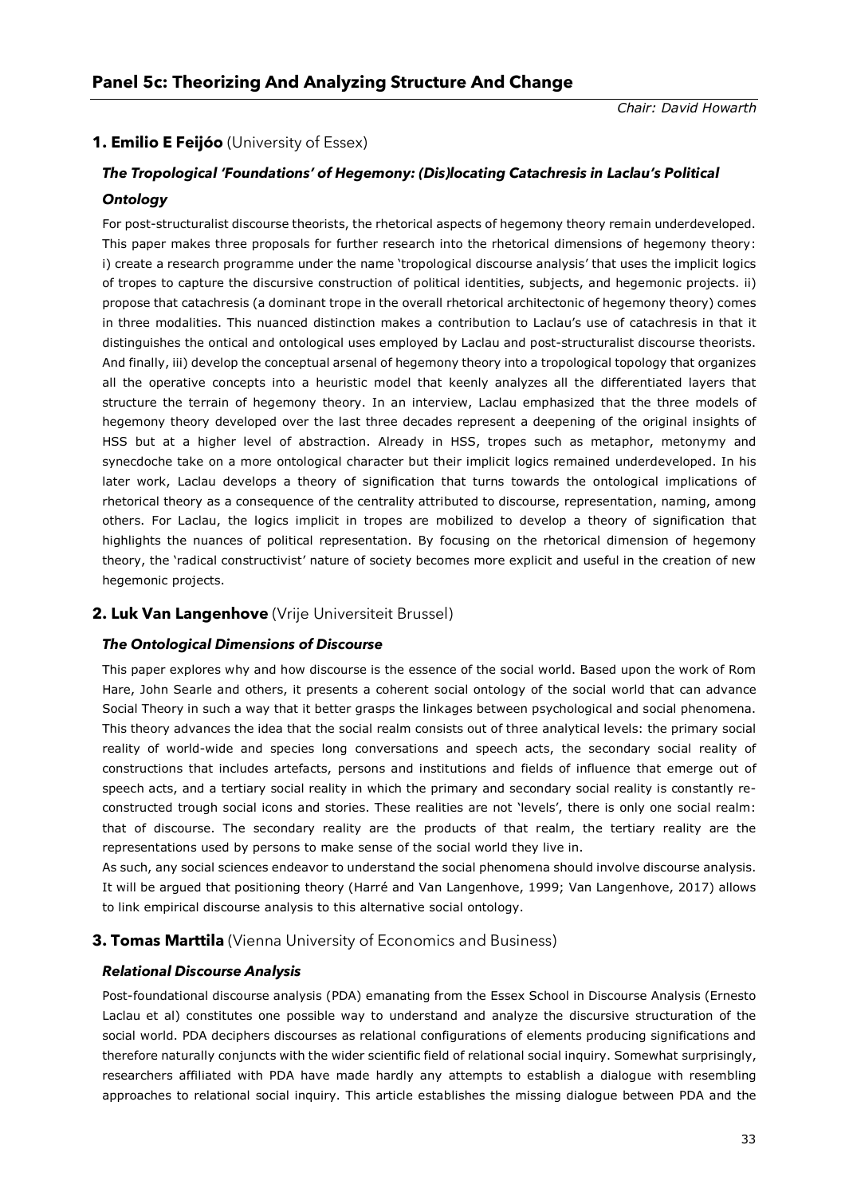*Chair: David Howarth*

# **1. Emilio E Feijóo** (University of Essex)

# *The Tropological 'Foundations' of Hegemony: (Dis)locating Catachresis in Laclau's Political Ontology*

For post-structuralist discourse theorists, the rhetorical aspects of hegemony theory remain underdeveloped. This paper makes three proposals for further research into the rhetorical dimensions of hegemony theory: i) create a research programme under the name 'tropological discourse analysis' that uses the implicit logics of tropes to capture the discursive construction of political identities, subjects, and hegemonic projects. ii) propose that catachresis (a dominant trope in the overall rhetorical architectonic of hegemony theory) comes in three modalities. This nuanced distinction makes a contribution to Laclau's use of catachresis in that it distinguishes the ontical and ontological uses employed by Laclau and post-structuralist discourse theorists. And finally, iii) develop the conceptual arsenal of hegemony theory into a tropological topology that organizes all the operative concepts into a heuristic model that keenly analyzes all the differentiated layers that structure the terrain of hegemony theory. In an interview, Laclau emphasized that the three models of hegemony theory developed over the last three decades represent a deepening of the original insights of HSS but at a higher level of abstraction. Already in HSS, tropes such as metaphor, metonymy and synecdoche take on a more ontological character but their implicit logics remained underdeveloped. In his later work, Laclau develops a theory of signification that turns towards the ontological implications of rhetorical theory as a consequence of the centrality attributed to discourse, representation, naming, among others. For Laclau, the logics implicit in tropes are mobilized to develop a theory of signification that highlights the nuances of political representation. By focusing on the rhetorical dimension of hegemony theory, the 'radical constructivist' nature of society becomes more explicit and useful in the creation of new hegemonic projects.

# **2. Luk Van Langenhove** (Vrije Universiteit Brussel)

# *The Ontological Dimensions of Discourse*

This paper explores why and how discourse is the essence of the social world. Based upon the work of Rom Hare, John Searle and others, it presents a coherent social ontology of the social world that can advance Social Theory in such a way that it better grasps the linkages between psychological and social phenomena. This theory advances the idea that the social realm consists out of three analytical levels: the primary social reality of world-wide and species long conversations and speech acts, the secondary social reality of constructions that includes artefacts, persons and institutions and fields of influence that emerge out of speech acts, and a tertiary social reality in which the primary and secondary social reality is constantly reconstructed trough social icons and stories. These realities are not 'levels', there is only one social realm: that of discourse. The secondary reality are the products of that realm, the tertiary reality are the representations used by persons to make sense of the social world they live in.

As such, any social sciences endeavor to understand the social phenomena should involve discourse analysis. It will be argued that positioning theory (Harré and Van Langenhove, 1999; Van Langenhove, 2017) allows to link empirical discourse analysis to this alternative social ontology.

# **3. Tomas Marttila** (Vienna University of Economics and Business)

#### *Relational Discourse Analysis*

Post-foundational discourse analysis (PDA) emanating from the Essex School in Discourse Analysis (Ernesto Laclau et al) constitutes one possible way to understand and analyze the discursive structuration of the social world. PDA deciphers discourses as relational configurations of elements producing significations and therefore naturally conjuncts with the wider scientific field of relational social inquiry. Somewhat surprisingly, researchers affiliated with PDA have made hardly any attempts to establish a dialogue with resembling approaches to relational social inquiry. This article establishes the missing dialogue between PDA and the